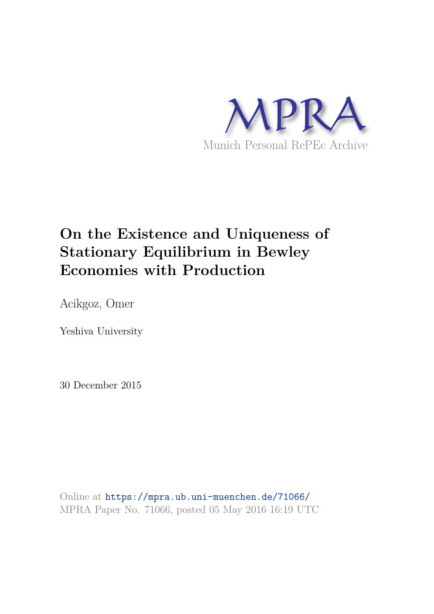

# **On the Existence and Uniqueness of Stationary Equilibrium in Bewley Economies with Production**

Acikgoz, Omer

Yeshiva University

30 December 2015

Online at https://mpra.ub.uni-muenchen.de/71066/ MPRA Paper No. 71066, posted 05 May 2016 16:19 UTC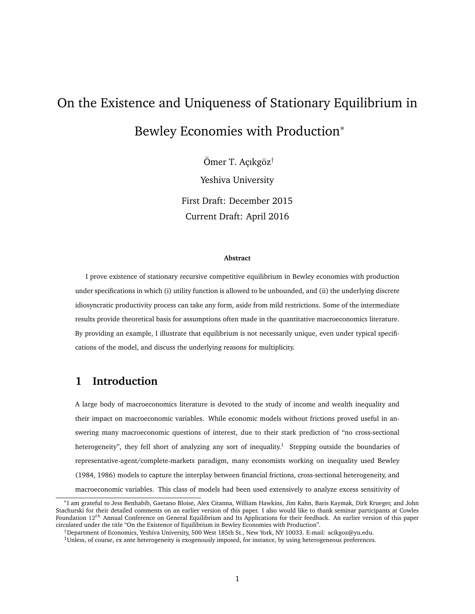# On the Existence and Uniqueness of Stationary Equilibrium in Bewley Economies with Production<sup>∗</sup>

Ömer T. Açıkgöz† Yeshiva University First Draft: December 2015 Current Draft: April 2016

#### **Abstract**

I prove existence of stationary recursive competitive equilibrium in Bewley economies with production under specifications in which (i) utility function is allowed to be unbounded, and (ii) the underlying discrete idiosyncratic productivity process can take any form, aside from mild restrictions. Some of the intermediate results provide theoretical basis for assumptions often made in the quantitative macroeconomics literature. By providing an example, I illustrate that equilibrium is not necessarily unique, even under typical specifications of the model, and discuss the underlying reasons for multiplicity.

## **1 Introduction**

A large body of macroeconomics literature is devoted to the study of income and wealth inequality and their impact on macroeconomic variables. While economic models without frictions proved useful in answering many macroeconomic questions of interest, due to their stark prediction of "no cross-sectional heterogeneity", they fell short of analyzing any sort of inequality.<sup>1</sup> Stepping outside the boundaries of representative-agent/complete-markets paradigm, many economists working on inequality used Bewley (1984, 1986) models to capture the interplay between financial frictions, cross-sectional heterogeneity, and macroeconomic variables. This class of models had been used extensively to analyze excess sensitivity of

<sup>∗</sup>I am grateful to Jess Benhabib, Gaetano Bloise, Alex Citanna, William Hawkins, Jim Kahn, Baris Kaymak, Dirk Krueger, and John Stachurski for their detailed comments on an earlier version of this paper. I also would like to thank seminar participants at Cowles Foundation 12<sup>th</sup> Annual Conference on General Equilibrium and Its Applications for their feedback. An earlier version of this paper circulated under the title "On the Existence of Equilibrium in Bewley Economies with Production".

<sup>†</sup>Department of Economics, Yeshiva University, 500 West 185th St., New York, NY 10033. E-mail: acikgoz@yu.edu.

 $1$ Unless, of course, ex ante heterogeneity is exogenously imposed, for instance, by using heterogeneous preferences.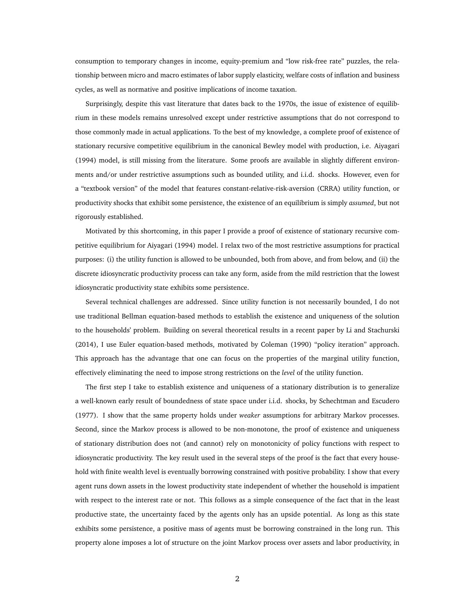consumption to temporary changes in income, equity-premium and "low risk-free rate" puzzles, the relationship between micro and macro estimates of labor supply elasticity, welfare costs of inflation and business cycles, as well as normative and positive implications of income taxation.

Surprisingly, despite this vast literature that dates back to the 1970s, the issue of existence of equilibrium in these models remains unresolved except under restrictive assumptions that do not correspond to those commonly made in actual applications. To the best of my knowledge, a complete proof of existence of stationary recursive competitive equilibrium in the canonical Bewley model with production, i.e. Aiyagari (1994) model, is still missing from the literature. Some proofs are available in slightly different environments and/or under restrictive assumptions such as bounded utility, and i.i.d. shocks. However, even for a "textbook version" of the model that features constant-relative-risk-aversion (CRRA) utility function, or productivity shocks that exhibit some persistence, the existence of an equilibrium is simply *assumed*, but not rigorously established.

Motivated by this shortcoming, in this paper I provide a proof of existence of stationary recursive competitive equilibrium for Aiyagari (1994) model. I relax two of the most restrictive assumptions for practical purposes: (i) the utility function is allowed to be unbounded, both from above, and from below, and (ii) the discrete idiosyncratic productivity process can take any form, aside from the mild restriction that the lowest idiosyncratic productivity state exhibits some persistence.

Several technical challenges are addressed. Since utility function is not necessarily bounded, I do not use traditional Bellman equation-based methods to establish the existence and uniqueness of the solution to the households' problem. Building on several theoretical results in a recent paper by Li and Stachurski (2014), I use Euler equation-based methods, motivated by Coleman (1990) "policy iteration" approach. This approach has the advantage that one can focus on the properties of the marginal utility function, effectively eliminating the need to impose strong restrictions on the *level* of the utility function.

The first step I take to establish existence and uniqueness of a stationary distribution is to generalize a well-known early result of boundedness of state space under i.i.d. shocks, by Schechtman and Escudero (1977). I show that the same property holds under *weaker* assumptions for arbitrary Markov processes. Second, since the Markov process is allowed to be non-monotone, the proof of existence and uniqueness of stationary distribution does not (and cannot) rely on monotonicity of policy functions with respect to idiosyncratic productivity. The key result used in the several steps of the proof is the fact that every household with finite wealth level is eventually borrowing constrained with positive probability. I show that every agent runs down assets in the lowest productivity state independent of whether the household is impatient with respect to the interest rate or not. This follows as a simple consequence of the fact that in the least productive state, the uncertainty faced by the agents only has an upside potential. As long as this state exhibits some persistence, a positive mass of agents must be borrowing constrained in the long run. This property alone imposes a lot of structure on the joint Markov process over assets and labor productivity, in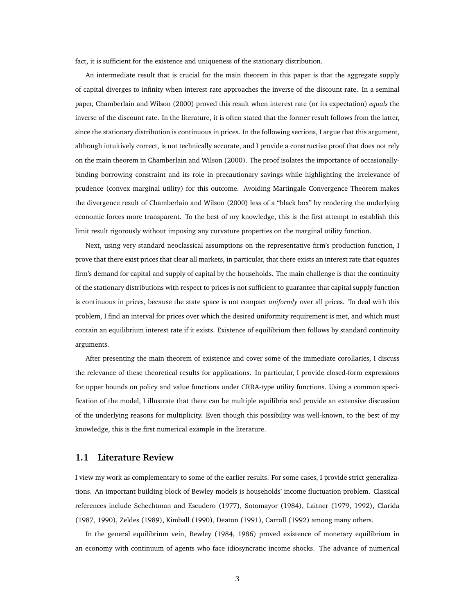fact, it is sufficient for the existence and uniqueness of the stationary distribution.

An intermediate result that is crucial for the main theorem in this paper is that the aggregate supply of capital diverges to infinity when interest rate approaches the inverse of the discount rate. In a seminal paper, Chamberlain and Wilson (2000) proved this result when interest rate (or its expectation) *equals* the inverse of the discount rate. In the literature, it is often stated that the former result follows from the latter, since the stationary distribution is continuous in prices. In the following sections, I argue that this argument, although intuitively correct, is not technically accurate, and I provide a constructive proof that does not rely on the main theorem in Chamberlain and Wilson (2000). The proof isolates the importance of occasionallybinding borrowing constraint and its role in precautionary savings while highlighting the irrelevance of prudence (convex marginal utility) for this outcome. Avoiding Martingale Convergence Theorem makes the divergence result of Chamberlain and Wilson (2000) less of a "black box" by rendering the underlying economic forces more transparent. To the best of my knowledge, this is the first attempt to establish this limit result rigorously without imposing any curvature properties on the marginal utility function.

Next, using very standard neoclassical assumptions on the representative firm's production function, I prove that there exist prices that clear all markets, in particular, that there exists an interest rate that equates firm's demand for capital and supply of capital by the households. The main challenge is that the continuity of the stationary distributions with respect to prices is not sufficient to guarantee that capital supply function is continuous in prices, because the state space is not compact *uniformly* over all prices. To deal with this problem, I find an interval for prices over which the desired uniformity requirement is met, and which must contain an equilibrium interest rate if it exists. Existence of equilibrium then follows by standard continuity arguments.

After presenting the main theorem of existence and cover some of the immediate corollaries, I discuss the relevance of these theoretical results for applications. In particular, I provide closed-form expressions for upper bounds on policy and value functions under CRRA-type utility functions. Using a common specification of the model, I illustrate that there can be multiple equilibria and provide an extensive discussion of the underlying reasons for multiplicity. Even though this possibility was well-known, to the best of my knowledge, this is the first numerical example in the literature.

#### **1.1 Literature Review**

I view my work as complementary to some of the earlier results. For some cases, I provide strict generalizations. An important building block of Bewley models is households' income fluctuation problem. Classical references include Schechtman and Escudero (1977), Sotomayor (1984), Laitner (1979, 1992), Clarida (1987, 1990), Zeldes (1989), Kimball (1990), Deaton (1991), Carroll (1992) among many others.

In the general equilibrium vein, Bewley (1984, 1986) proved existence of monetary equilibrium in an economy with continuum of agents who face idiosyncratic income shocks. The advance of numerical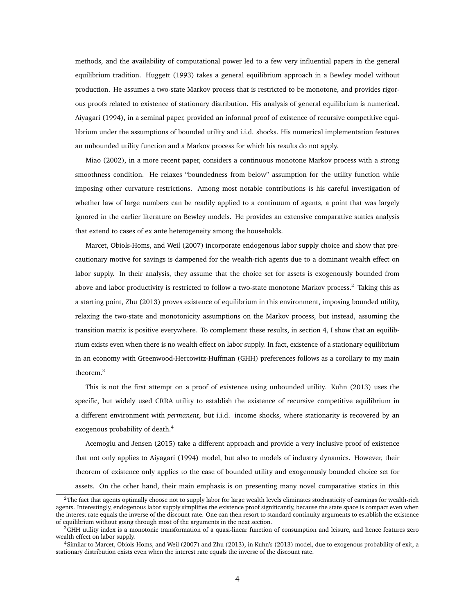methods, and the availability of computational power led to a few very influential papers in the general equilibrium tradition. Huggett (1993) takes a general equilibrium approach in a Bewley model without production. He assumes a two-state Markov process that is restricted to be monotone, and provides rigorous proofs related to existence of stationary distribution. His analysis of general equilibrium is numerical. Aiyagari (1994), in a seminal paper, provided an informal proof of existence of recursive competitive equilibrium under the assumptions of bounded utility and i.i.d. shocks. His numerical implementation features an unbounded utility function and a Markov process for which his results do not apply.

Miao (2002), in a more recent paper, considers a continuous monotone Markov process with a strong smoothness condition. He relaxes "boundedness from below" assumption for the utility function while imposing other curvature restrictions. Among most notable contributions is his careful investigation of whether law of large numbers can be readily applied to a continuum of agents, a point that was largely ignored in the earlier literature on Bewley models. He provides an extensive comparative statics analysis that extend to cases of ex ante heterogeneity among the households.

Marcet, Obiols-Homs, and Weil (2007) incorporate endogenous labor supply choice and show that precautionary motive for savings is dampened for the wealth-rich agents due to a dominant wealth effect on labor supply. In their analysis, they assume that the choice set for assets is exogenously bounded from above and labor productivity is restricted to follow a two-state monotone Markov process.<sup>2</sup> Taking this as a starting point, Zhu (2013) proves existence of equilibrium in this environment, imposing bounded utility, relaxing the two-state and monotonicity assumptions on the Markov process, but instead, assuming the transition matrix is positive everywhere. To complement these results, in section 4, I show that an equilibrium exists even when there is no wealth effect on labor supply. In fact, existence of a stationary equilibrium in an economy with Greenwood-Hercowitz-Huffman (GHH) preferences follows as a corollary to my main theorem.<sup>3</sup>

This is not the first attempt on a proof of existence using unbounded utility. Kuhn (2013) uses the specific, but widely used CRRA utility to establish the existence of recursive competitive equilibrium in a different environment with *permanent*, but i.i.d. income shocks, where stationarity is recovered by an exogenous probability of death.<sup>4</sup>

Acemoglu and Jensen (2015) take a different approach and provide a very inclusive proof of existence that not only applies to Aiyagari (1994) model, but also to models of industry dynamics. However, their theorem of existence only applies to the case of bounded utility and exogenously bounded choice set for assets. On the other hand, their main emphasis is on presenting many novel comparative statics in this

<sup>&</sup>lt;sup>2</sup>The fact that agents optimally choose not to supply labor for large wealth levels eliminates stochasticity of earnings for wealth-rich agents. Interestingly, endogenous labor supply simplifies the existence proof significantly, because the state space is compact even when the interest rate equals the inverse of the discount rate. One can then resort to standard continuity arguments to establish the existence of equilibrium without going through most of the arguments in the next section.

<sup>3</sup>GHH utility index is a monotonic transformation of a quasi-linear function of consumption and leisure, and hence features zero wealth effect on labor supply.

<sup>4</sup>Similar to Marcet, Obiols-Homs, and Weil (2007) and Zhu (2013), in Kuhn's (2013) model, due to exogenous probability of exit, a stationary distribution exists even when the interest rate equals the inverse of the discount rate.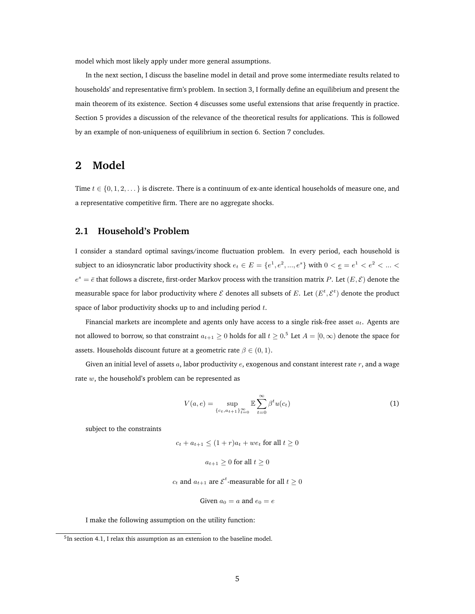model which most likely apply under more general assumptions.

In the next section, I discuss the baseline model in detail and prove some intermediate results related to households' and representative firm's problem. In section 3, I formally define an equilibrium and present the main theorem of its existence. Section 4 discusses some useful extensions that arise frequently in practice. Section 5 provides a discussion of the relevance of the theoretical results for applications. This is followed by an example of non-uniqueness of equilibrium in section 6. Section 7 concludes.

### **2 Model**

Time  $t \in \{0, 1, 2, \ldots\}$  is discrete. There is a continuum of ex-ante identical households of measure one, and a representative competitive firm. There are no aggregate shocks.

#### **2.1 Household's Problem**

I consider a standard optimal savings/income fluctuation problem. In every period, each household is subject to an idiosyncratic labor productivity shock  $e_t \in E = \{e^1, e^2, ..., e^s\}$  with  $0 < \underline{e} = e^1 < e^2 < ... <$  $e^s = \bar{e}$  that follows a discrete, first-order Markov process with the transition matrix P. Let  $(E, E)$  denote the measurable space for labor productivity where  $\mathcal E$  denotes all subsets of E. Let  $(E^t, \mathcal E^t)$  denote the product space of labor productivity shocks up to and including period  $t$ .

Financial markets are incomplete and agents only have access to a single risk-free asset  $a_t$ . Agents are not allowed to borrow, so that constraint  $a_{t+1}\geq 0$  holds for all  $t\geq 0.5$  Let  $A=[0,\infty)$  denote the space for assets. Households discount future at a geometric rate  $\beta \in (0, 1)$ .

Given an initial level of assets  $a$ , labor productivity  $e$ , exogenous and constant interest rate  $r$ , and a wage rate w, the household's problem can be represented as

$$
V(a, e) = \sup_{\{c_t, a_{t+1}\}_{t=0}^{\infty}} \mathbb{E} \sum_{t=0}^{\infty} \beta^t u(c_t)
$$
 (1)

subject to the constraints

 $c_t + a_{t+1} \le (1+r)a_t + we_t$  for all  $t \ge 0$ 

$$
a_{t+1} \ge 0 \text{ for all } t \ge 0
$$

 $c_t$  and  $a_{t+1}$  are  $\mathcal{E}^t$ -measurable for all  $t\geq 0$ 

Given 
$$
a_0 = a
$$
 and  $e_0 = e$ 

I make the following assumption on the utility function:

<sup>&</sup>lt;sup>5</sup>In section 4.1, I relax this assumption as an extension to the baseline model.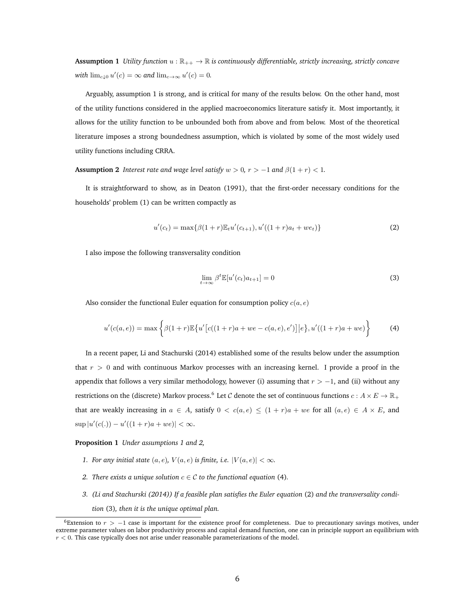**Assumption 1** *Utility function*  $u : \mathbb{R}_{++} \to \mathbb{R}$  *is continuously differentiable, strictly increasing, strictly concave with*  $\lim_{c \to 0} u'(c) = \infty$  *and*  $\lim_{c \to \infty} u'(c) = 0$ *.* 

Arguably, assumption 1 is strong, and is critical for many of the results below. On the other hand, most of the utility functions considered in the applied macroeconomics literature satisfy it. Most importantly, it allows for the utility function to be unbounded both from above and from below. Most of the theoretical literature imposes a strong boundedness assumption, which is violated by some of the most widely used utility functions including CRRA.

**Assumption 2** *Interest rate and wage level satisfy*  $w > 0$ ,  $r > -1$  *and*  $\beta(1 + r) < 1$ *.* 

It is straightforward to show, as in Deaton (1991), that the first-order necessary conditions for the households' problem (1) can be written compactly as

$$
u'(c_t) = \max\{\beta(1+r)\mathbb{E}_t u'(c_{t+1}), u'((1+r)a_t + w e_t)\}\tag{2}
$$

I also impose the following transversality condition

$$
\lim_{t \to \infty} \beta^t \mathbb{E}[u'(c_t) a_{t+1}] = 0 \tag{3}
$$

Also consider the functional Euler equation for consumption policy  $c(a, e)$ 

$$
u'(c(a,e)) = \max\left\{\beta(1+r)\mathbb{E}\left\{u'\big[c((1+r)a + we - c(a,e),e')\big] | e\right\}, u'((1+r)a + we)\right\}
$$
(4)

In a recent paper, Li and Stachurski (2014) established some of the results below under the assumption that  $r > 0$  and with continuous Markov processes with an increasing kernel. I provide a proof in the appendix that follows a very similar methodology, however (i) assuming that  $r > -1$ , and (ii) without any restrictions on the (discrete) Markov process. $^6$  Let  ${\cal C}$  denote the set of continuous functions  $c:A\times E\to \mathbb{R}_+$ that are weakly increasing in  $a \in A$ , satisfy  $0 < c(a, e) \le (1 + r)a + we$  for all  $(a, e) \in A \times E$ , and  $\sup |u'(c(.)) - u'((1+r)a + we)| < \infty.$ 

#### **Proposition 1** *Under assumptions 1 and 2,*

- *1. For any initial state*  $(a, e)$ *,*  $V(a, e)$  *is finite, i.e.*  $|V(a, e)| < \infty$ *.*
- *2. There exists a unique solution*  $c \in \mathcal{C}$  to the functional equation (4).
- *3. (Li and Stachurski (2014)) If a feasible plan satisfies the Euler equation* (2) *and the transversality condition* (3)*, then it is the unique optimal plan.*

 $6$ Extension to  $r > -1$  case is important for the existence proof for completeness. Due to precautionary savings motives, under extreme parameter values on labor productivity process and capital demand function, one can in principle support an equilibrium with  $r < 0$ . This case typically does not arise under reasonable parameterizations of the model.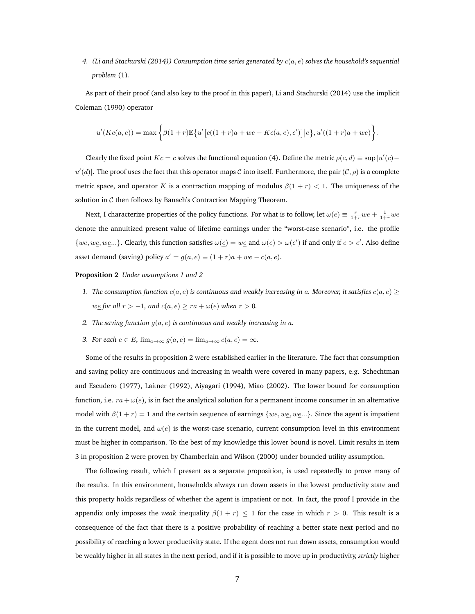*4. (Li and Stachurski (2014)) Consumption time series generated by* c(a, e) *solves the household's sequential problem* (1)*.*

As part of their proof (and also key to the proof in this paper), Li and Stachurski (2014) use the implicit Coleman (1990) operator

$$
u'(Kc(a,e)) = \max \bigg\{ \beta(1+r) \mathbb{E} \big\{ u' \big[ c((1+r)a + we - Kc(a,e),e') \big] \big| e \big\}, u'((1+r)a + we) \bigg\}.
$$

Clearly the fixed point  $Kc = c$  solves the functional equation (4). Define the metric  $\rho(c, d) \equiv \sup |u'(c)$  $u'(d)$ . The proof uses the fact that this operator maps C into itself. Furthermore, the pair  $(C, \rho)$  is a complete metric space, and operator K is a contraction mapping of modulus  $\beta(1 + r) < 1$ . The uniqueness of the solution in  $C$  then follows by Banach's Contraction Mapping Theorem.

Next, I characterize properties of the policy functions. For what is to follow, let  $\omega(e) \equiv \frac{r}{1+r}we + \frac{1}{1+r}we$ denote the annuitized present value of lifetime earnings under the "worst-case scenario", i.e. the profile  $\{we, we,...\}$ . Clearly, this function satisfies  $\omega(\underline{e}) = we$  and  $\omega(e) > \omega(e')$  if and only if  $e > e'$ . Also define asset demand (saving) policy  $a' = g(a, e) \equiv (1 + r)a + we - c(a, e)$ .

#### **Proposition 2** *Under assumptions 1 and 2*

- *1. The consumption function*  $c(a, e)$  *is continuous and weakly increasing in* a. Moreover, *it satisfies*  $c(a, e) \geq$  $we$  *for all*  $r > −1$ *, and*  $c(a, e) \ge ra + \omega(e)$  *when*  $r > 0$ *.*
- *2. The saving function* g(a, e) *is continuous and weakly increasing in* a*.*
- *3. For each*  $e \in E$ ,  $\lim_{a \to \infty} g(a, e) = \lim_{a \to \infty} c(a, e) = \infty$ .

Some of the results in proposition 2 were established earlier in the literature. The fact that consumption and saving policy are continuous and increasing in wealth were covered in many papers, e.g. Schechtman and Escudero (1977), Laitner (1992), Aiyagari (1994), Miao (2002). The lower bound for consumption function, i.e.  $ra + \omega(e)$ , is in fact the analytical solution for a permanent income consumer in an alternative model with  $\beta(1 + r) = 1$  and the certain sequence of earnings {we, we, we, ...}. Since the agent is impatient in the current model, and  $\omega(e)$  is the worst-case scenario, current consumption level in this environment must be higher in comparison. To the best of my knowledge this lower bound is novel. Limit results in item 3 in proposition 2 were proven by Chamberlain and Wilson (2000) under bounded utility assumption.

The following result, which I present as a separate proposition, is used repeatedly to prove many of the results. In this environment, households always run down assets in the lowest productivity state and this property holds regardless of whether the agent is impatient or not. In fact, the proof I provide in the appendix only imposes the *weak* inequality  $\beta(1 + r) \leq 1$  for the case in which  $r > 0$ . This result is a consequence of the fact that there is a positive probability of reaching a better state next period and no possibility of reaching a lower productivity state. If the agent does not run down assets, consumption would be weakly higher in all states in the next period, and if it is possible to move up in productivity, *strictly* higher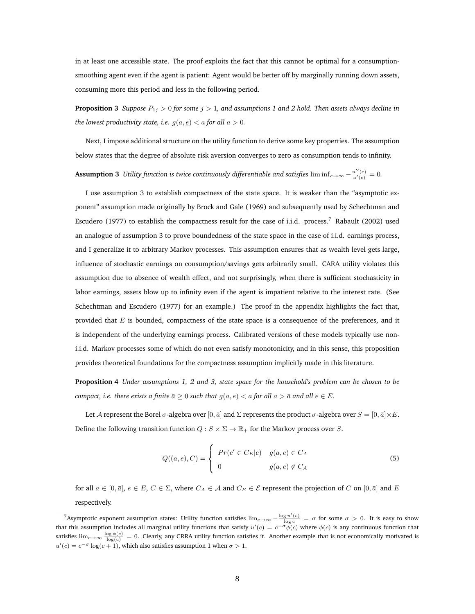in at least one accessible state. The proof exploits the fact that this cannot be optimal for a consumptionsmoothing agent even if the agent is patient: Agent would be better off by marginally running down assets, consuming more this period and less in the following period.

**Proposition 3** *Suppose*  $P_{1j} > 0$  *for some*  $j > 1$ *, and assumptions 1 and 2 hold. Then assets always decline in the lowest productivity state, i.e.*  $g(a, \underline{e}) < a$  *for all*  $a > 0$ *.* 

Next, I impose additional structure on the utility function to derive some key properties. The assumption below states that the degree of absolute risk aversion converges to zero as consumption tends to infinity.

 ${\rm Assumption~3~}$  *Utility function is twice continuously differentiable and satisfies*  $\liminf_{c\to\infty}-\frac{u''(c)}{u'(c)}=0.$ 

I use assumption 3 to establish compactness of the state space. It is weaker than the "asymptotic exponent" assumption made originally by Brock and Gale (1969) and subsequently used by Schechtman and Escudero (1977) to establish the compactness result for the case of i.i.d. process.<sup>7</sup> Rabault (2002) used an analogue of assumption 3 to prove boundedness of the state space in the case of i.i.d. earnings process, and I generalize it to arbitrary Markov processes. This assumption ensures that as wealth level gets large, influence of stochastic earnings on consumption/savings gets arbitrarily small. CARA utility violates this assumption due to absence of wealth effect, and not surprisingly, when there is sufficient stochasticity in labor earnings, assets blow up to infinity even if the agent is impatient relative to the interest rate. (See Schechtman and Escudero (1977) for an example.) The proof in the appendix highlights the fact that, provided that  $E$  is bounded, compactness of the state space is a consequence of the preferences, and it is independent of the underlying earnings process. Calibrated versions of these models typically use noni.i.d. Markov processes some of which do not even satisfy monotonicity, and in this sense, this proposition provides theoretical foundations for the compactness assumption implicitly made in this literature.

**Proposition 4** *Under assumptions 1, 2 and 3, state space for the household's problem can be chosen to be compact, i.e. there exists a finite*  $\bar{a} \geq 0$  *such that*  $g(a, e) < a$  *for all*  $a > \bar{a}$  *and all*  $e \in E$ *.* 

Let A represent the Borel  $\sigma$ -algebra over [0,  $\bar{a}$ ] and  $\Sigma$  represents the product  $\sigma$ -algebra over  $S = [0, \bar{a}] \times E$ . Define the following transition function  $Q : S \times \Sigma \to \mathbb{R}_+$  for the Markov process over S.

$$
Q((a,e),C) = \begin{cases} Pr(e' \in C_E | e) & g(a,e) \in C_A \\ 0 & g(a,e) \notin C_A \end{cases}
$$
(5)

for all  $a \in [0, \bar{a}], e \in E, C \in \Sigma$ , where  $C_A \in \mathcal{A}$  and  $C_E \in \mathcal{E}$  represent the projection of C on  $[0, \bar{a}]$  and E respectively.

<sup>&</sup>lt;sup>7</sup>Asymptotic exponent assumption states: Utility function satisfies  $\lim_{c\to\infty}-\frac{\log u'(c)}{\log c}=\sigma$  for some  $\sigma>0$ . It is easy to show that this assumption includes all marginal utility functions that satisfy  $u'(c) = c^{-\sigma} \phi(c)$  where  $\phi(c)$  is any continuous function that satisfies  $\lim_{c\to\infty} \frac{\log \phi(c)}{\log(c)} = 0$ . Clearly, any CRRA utility function satisfies it. Another example that is not economically motivated is  $u'(c) = c^{-\sigma} \log(c+1)$ , which also satisfies assumption 1 when  $\sigma > 1$ .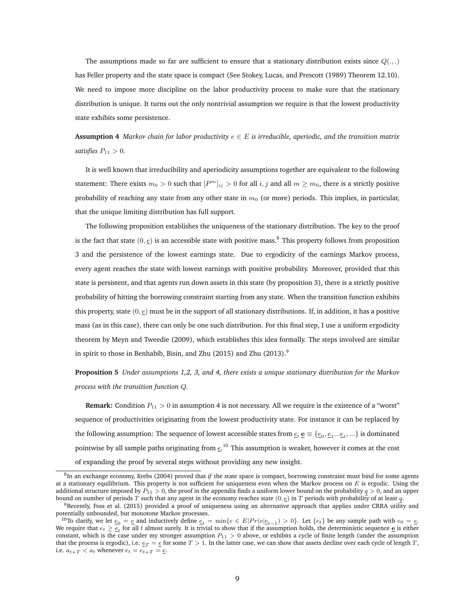The assumptions made so far are sufficient to ensure that a stationary distribution exists since  $Q(\ldots)$ has Feller property and the state space is compact (See Stokey, Lucas, and Prescott (1989) Theorem 12.10). We need to impose more discipline on the labor productivity process to make sure that the stationary distribution is unique. It turns out the only nontrivial assumption we require is that the lowest productivity state exhibits some persistence.

**Assumption 4** *Markov chain for labor productivity*  $e \in E$  *is irreducible, aperiodic, and the transition matrix satisfies*  $P_{11} > 0$ *.* 

It is well known that irreducibility and aperiodicity assumptions together are equivalent to the following statement: There exists  $m_0 > 0$  such that  $[P^m]_{ij} > 0$  for all  $i, j$  and all  $m \ge m_0$ , there is a strictly positive probability of reaching any state from any other state in  $m<sub>0</sub>$  (or more) periods. This implies, in particular, that the unique limiting distribution has full support.

The following proposition establishes the uniqueness of the stationary distribution. The key to the proof is the fact that state  $(0, e)$  is an accessible state with positive mass.<sup>8</sup> This property follows from proposition 3 and the persistence of the lowest earnings state. Due to ergodicity of the earnings Markov process, every agent reaches the state with lowest earnings with positive probability. Moreover, provided that this state is persistent, and that agents run down assets in this state (by proposition 3), there is a strictly positive probability of hitting the borrowing constraint starting from any state. When the transition function exhibits this property, state  $(0, \epsilon)$  must be in the support of all stationary distributions. If, in addition, it has a positive mass (as in this case), there can only be one such distribution. For this final step, I use a uniform ergodicity theorem by Meyn and Tweedie (2009), which establishes this idea formally. The steps involved are similar in spirit to those in Benhabib, Bisin, and Zhu (2015) and Zhu (2013).<sup>9</sup>

**Proposition 5** *Under assumptions 1,2, 3, and 4, there exists a unique stationary distribution for the Markov process with the transition function* Q*.*

**Remark:** Condition  $P_{11} > 0$  in assumption 4 is not necessary. All we require is the existence of a "worst" sequence of productivities originating from the lowest productivity state. For instance it can be replaced by the following assumption: The sequence of lowest accessible states from  $\underline{e}$ ,  $\underline{e}$   $\equiv \{e_0,e_1...e_t,...\}$  is dominated pointwise by all sample paths originating from  $e^{10}$  This assumption is weaker, however it comes at the cost

of expanding the proof by several steps without providing any new insight.

<sup>8</sup> In an exchange economy, Krebs (2004) proved that *if* the state space is compact, borrowing constraint must bind for some agents at a stationary equilibrium. This property is not sufficient for uniqueness even when the Markov process on  $E$  is ergodic. Using the additional structure imposed by  $P_{11} > 0$ , the proof in the appendix finds a uniform lower bound on the probability  $q > 0$ , and an upper bound on number of periods T such that any agent in the economy reaches state  $(0, \underline{e})$  in T periods with probability of at least q.

<sup>9</sup>Recently, Foss et al. (2015) provided a proof of uniqueness using an alternative approach that applies under CRRA utility and potentially unbounded, but monotone Markov processes.

<sup>&</sup>lt;sup>10</sup>To clarify, we let  $e_0 = e$  and inductively define  $e_t = \min\{e \in E | Pr(e|e_{t-1}) > 0\}$ . Let  $\{e_t\}$  be any sample path with  $e_0 = e$ . We require that  $e_t \ge \frac{e}{2t}$  for all t almost surely. It is trivial to show that if the assumption holds, the deterministic sequence  $\frac{e}{2}$  is either constant, which is the case under my stronger assumption  $P_{11} > 0$  above, or exhibits a cycle of finite length (under the assumption that the process is ergodic), i.e.  $e_T = e$  for some  $T > 1$ . In the latter case, we can show that assets decline over each cycle of length T, i.e.  $a_{t+T} < a_t$  whenever  $e_t = e_{t+T} = e$ .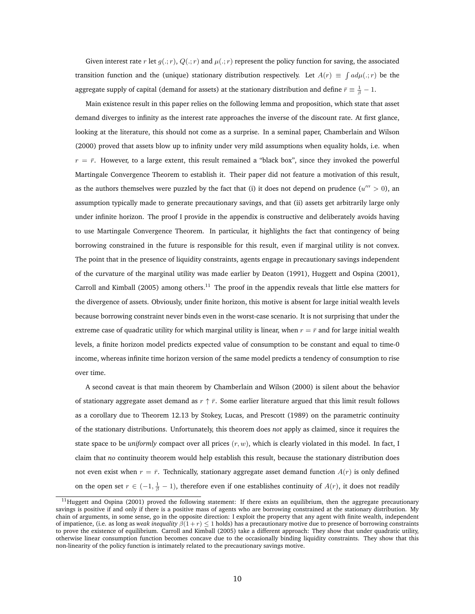Given interest rate r let  $g(.; r)$ ,  $Q(.; r)$  and  $\mu(.; r)$  represent the policy function for saving, the associated transition function and the (unique) stationary distribution respectively. Let  $A(r) \equiv \int a d\mu(.;r)$  be the aggregate supply of capital (demand for assets) at the stationary distribution and define  $\bar{r}\equiv\frac{1}{\beta}-1.$ 

Main existence result in this paper relies on the following lemma and proposition, which state that asset demand diverges to infinity as the interest rate approaches the inverse of the discount rate. At first glance, looking at the literature, this should not come as a surprise. In a seminal paper, Chamberlain and Wilson (2000) proved that assets blow up to infinity under very mild assumptions when equality holds, i.e. when  $r = \bar{r}$ . However, to a large extent, this result remained a "black box", since they invoked the powerful Martingale Convergence Theorem to establish it. Their paper did not feature a motivation of this result, as the authors themselves were puzzled by the fact that (i) it does not depend on prudence  $(u'' > 0)$ , and assumption typically made to generate precautionary savings, and that (ii) assets get arbitrarily large only under infinite horizon. The proof I provide in the appendix is constructive and deliberately avoids having to use Martingale Convergence Theorem. In particular, it highlights the fact that contingency of being borrowing constrained in the future is responsible for this result, even if marginal utility is not convex. The point that in the presence of liquidity constraints, agents engage in precautionary savings independent of the curvature of the marginal utility was made earlier by Deaton (1991), Huggett and Ospina (2001), Carroll and Kimball (2005) among others.<sup>11</sup> The proof in the appendix reveals that little else matters for the divergence of assets. Obviously, under finite horizon, this motive is absent for large initial wealth levels because borrowing constraint never binds even in the worst-case scenario. It is not surprising that under the extreme case of quadratic utility for which marginal utility is linear, when  $r = \bar{r}$  and for large initial wealth levels, a finite horizon model predicts expected value of consumption to be constant and equal to time-0 income, whereas infinite time horizon version of the same model predicts a tendency of consumption to rise over time.

A second caveat is that main theorem by Chamberlain and Wilson (2000) is silent about the behavior of stationary aggregate asset demand as  $r \uparrow \bar{r}$ . Some earlier literature argued that this limit result follows as a corollary due to Theorem 12.13 by Stokey, Lucas, and Prescott (1989) on the parametric continuity of the stationary distributions. Unfortunately, this theorem does *not* apply as claimed, since it requires the state space to be *uniformly* compact over all prices (r, w), which is clearly violated in this model. In fact, I claim that *no* continuity theorem would help establish this result, because the stationary distribution does not even exist when  $r = \bar{r}$ . Technically, stationary aggregate asset demand function  $A(r)$  is only defined on the open set  $r \in (-1, \frac{1}{\beta} - 1)$ , therefore even if one establishes continuity of  $A(r)$ , it does not readily

 $11$ Huggett and Ospina (2001) proved the following statement: If there exists an equilibrium, then the aggregate precautionary savings is positive if and only if there is a positive mass of agents who are borrowing constrained at the stationary distribution. My chain of arguments, in some sense, go in the opposite direction: I exploit the property that any agent with finite wealth, independent of impatience, (i.e. as long as *weak inequality*  $\beta(1+r) \leq 1$  holds) has a precautionary motive due to presence of borrowing constraints to prove the existence of equilibrium. Carroll and Kimball (2005) take a different approach: They show that under quadratic utility, otherwise linear consumption function becomes concave due to the occasionally binding liquidity constraints. They show that this non-linearity of the policy function is intimately related to the precautionary savings motive.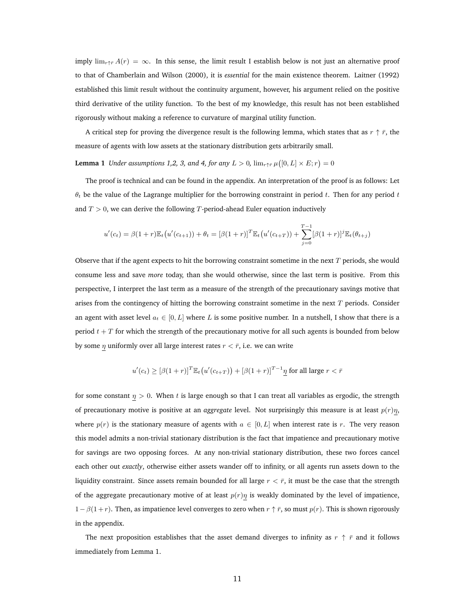imply  $\lim_{r \uparrow \bar{r}} A(r) = \infty$ . In this sense, the limit result I establish below is not just an alternative proof to that of Chamberlain and Wilson (2000), it is *essential* for the main existence theorem. Laitner (1992) established this limit result without the continuity argument, however, his argument relied on the positive third derivative of the utility function. To the best of my knowledge, this result has not been established rigorously without making a reference to curvature of marginal utility function.

A critical step for proving the divergence result is the following lemma, which states that as  $r \uparrow \bar{r}$ , the measure of agents with low assets at the stationary distribution gets arbitrarily small.

**Lemma 1** *Under assumptions 1,2, 3, and 4, for any*  $L > 0$ ,  $\lim_{r \uparrow \bar{r}} \mu([0,L] \times E; r) = 0$ 

The proof is technical and can be found in the appendix. An interpretation of the proof is as follows: Let  $\theta_t$  be the value of the Lagrange multiplier for the borrowing constraint in period t. Then for any period t and  $T > 0$ , we can derive the following T-period-ahead Euler equation inductively

$$
u'(c_t) = \beta(1+r)\mathbb{E}_t(u'(c_{t+1})) + \theta_t = [\beta(1+r)]^T \mathbb{E}_t(u'(c_{t+T})) + \sum_{j=0}^{T-1} [\beta(1+r)]^j \mathbb{E}_t(\theta_{t+j})
$$

Observe that if the agent expects to hit the borrowing constraint sometime in the next  $T$  periods, she would consume less and save *more* today, than she would otherwise, since the last term is positive. From this perspective, I interpret the last term as a measure of the strength of the precautionary savings motive that arises from the contingency of hitting the borrowing constraint sometime in the next  $T$  periods. Consider an agent with asset level  $a_t \in [0, L]$  where L is some positive number. In a nutshell, I show that there is a period  $t + T$  for which the strength of the precautionary motive for all such agents is bounded from below by some  $\eta$  uniformly over all large interest rates  $r < \bar{r}$ , i.e. we can write

$$
u'(c_t) \geq [\beta(1+r)]^T \mathbb{E}_t(u'(c_{t+T})) + [\beta(1+r)]^{T-1} \eta \text{ for all large } r < \bar{r}
$$

for some constant  $\eta > 0$ . When t is large enough so that I can treat all variables as ergodic, the strength of precautionary motive is positive at an *aggregate* level. Not surprisingly this measure is at least  $p(r)\eta$ , where  $p(r)$  is the stationary measure of agents with  $a \in [0, L]$  when interest rate is r. The very reason this model admits a non-trivial stationary distribution is the fact that impatience and precautionary motive for savings are two opposing forces. At any non-trivial stationary distribution, these two forces cancel each other out *exactly*, otherwise either assets wander off to infinity, or all agents run assets down to the liquidity constraint. Since assets remain bounded for all large  $r < \bar{r}$ , it must be the case that the strength of the aggregate precautionary motive of at least  $p(r)\eta$  is weakly dominated by the level of impatience,  $1-\beta(1+r)$ . Then, as impatience level converges to zero when  $r \uparrow \bar{r}$ , so must  $p(r)$ . This is shown rigorously in the appendix.

The next proposition establishes that the asset demand diverges to infinity as  $r \uparrow \bar{r}$  and it follows immediately from Lemma 1.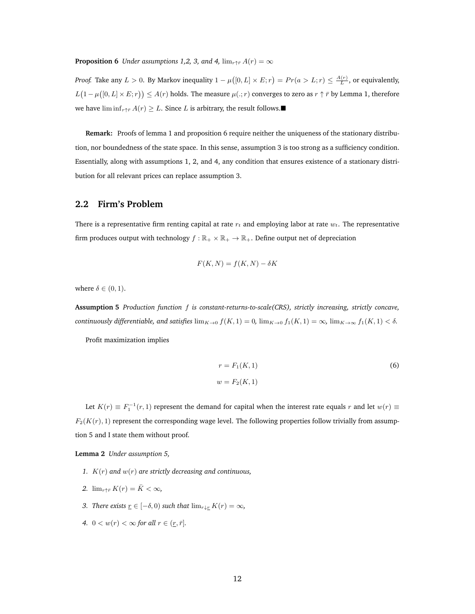**Proposition 6** *Under assumptions 1,2, 3, and 4,*  $\lim_{r \uparrow \bar{r}} A(r) = \infty$ 

*Proof.* Take any  $L > 0$ . By Markov inequality  $1 - \mu([0, L] \times E; r) = Pr(a > L; r) \leq \frac{A(r)}{L}$ , or equivalently,  $L(1-\mu([0,L]\times E;r))\leq A(r)$  holds. The measure  $\mu(.;r)$  converges to zero as  $r\uparrow\bar{r}$  by Lemma 1, therefore we have lim inf<sub>r</sub>↑ $A(r) \geq L$ . Since L is arbitrary, the result follows.

**Remark:** Proofs of lemma 1 and proposition 6 require neither the uniqueness of the stationary distribution, nor boundedness of the state space. In this sense, assumption 3 is too strong as a sufficiency condition. Essentially, along with assumptions 1, 2, and 4, any condition that ensures existence of a stationary distribution for all relevant prices can replace assumption 3.

#### **2.2 Firm's Problem**

There is a representative firm renting capital at rate  $r_t$  and employing labor at rate  $w_t$ . The representative firm produces output with technology  $f : \mathbb{R}_+ \times \mathbb{R}_+ \to \mathbb{R}_+$ . Define output net of depreciation

$$
F(K, N) = f(K, N) - \delta K
$$

where  $\delta \in (0, 1)$ .

**Assumption 5** *Production function* f *is constant-returns-to-scale(CRS), strictly increasing, strictly concave, continuously differentiable, and satisfies*  $\lim_{K\to 0} f(K,1) = 0$ ,  $\lim_{K\to 0} f_1(K,1) = \infty$ ,  $\lim_{K\to \infty} f_1(K,1) < \delta$ .

Profit maximization implies

$$
r = F_1(K, 1)
$$
\n
$$
w = F_2(K, 1)
$$
\n
$$
(6)
$$

Let  $K(r) \equiv F_1^{-1}(r,1)$  represent the demand for capital when the interest rate equals  $r$  and let  $w(r) \equiv$  $F_2(K(r), 1)$  represent the corresponding wage level. The following properties follow trivially from assumption 5 and I state them without proof.

**Lemma 2** *Under assumption 5,*

- *1.* K(r) *and* w(r) *are strictly decreasing and continuous,*
- 2.  $\lim_{r \uparrow \bar{r}} K(r) = \bar{K} < \infty$ ,
- *3. There exists*  $\underline{r} \in [-\delta, 0)$  *such that*  $\lim_{r \downarrow \underline{r}} K(r) = \infty$ *,*
- 4.  $0 < w(r) < \infty$  for all  $r \in (r, \bar{r}]$ *.*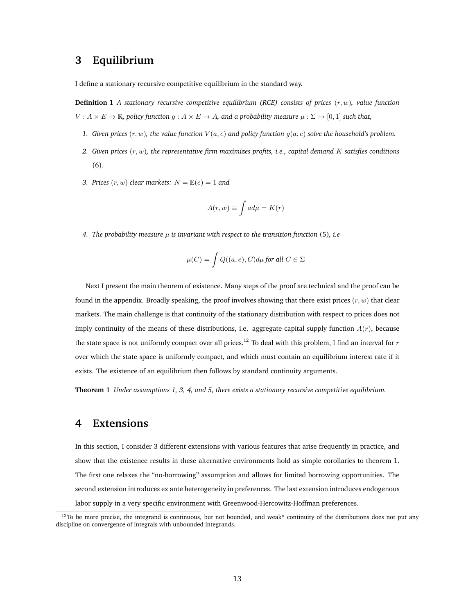#### **3 Equilibrium**

I define a stationary recursive competitive equilibrium in the standard way.

**Definition 1** *A stationary recursive competitive equilibrium (RCE) consists of prices* (r, w)*, value function*  $V: A \times E \to \mathbb{R}$ , policy function  $g: A \times E \to A$ , and a probability measure  $\mu: \Sigma \to [0, 1]$  such that,

- 1. Given prices  $(r, w)$ , the value function  $V(a, e)$  and policy function  $g(a, e)$  solve the household's problem.
- *2. Given prices* (r, w)*, the representative firm maximizes profits, i.e., capital demand* K *satisfies conditions* (6)*.*
- *3. Prices*  $(r, w)$  *clear markets:*  $N = \mathbb{E}(e) = 1$  *and*

$$
A(r, w) \equiv \int a d\mu = K(r)
$$

*4. The probability measure* µ *is invariant with respect to the transition function* (5)*, i.e*

$$
\mu(C) = \int Q((a,e),C) d\mu \text{ for all } C \in \Sigma
$$

Next I present the main theorem of existence. Many steps of the proof are technical and the proof can be found in the appendix. Broadly speaking, the proof involves showing that there exist prices  $(r, w)$  that clear markets. The main challenge is that continuity of the stationary distribution with respect to prices does not imply continuity of the means of these distributions, i.e. aggregate capital supply function  $A(r)$ , because the state space is not uniformly compact over all prices.<sup>12</sup> To deal with this problem, I find an interval for  $r$ over which the state space is uniformly compact, and which must contain an equilibrium interest rate if it exists. The existence of an equilibrium then follows by standard continuity arguments.

**Theorem 1** *Under assumptions 1, 3, 4, and 5, there exists a stationary recursive competitive equilibrium.*

### **4 Extensions**

In this section, I consider 3 different extensions with various features that arise frequently in practice, and show that the existence results in these alternative environments hold as simple corollaries to theorem 1. The first one relaxes the "no-borrowing" assumption and allows for limited borrowing opportunities. The second extension introduces ex ante heterogeneity in preferences. The last extension introduces endogenous labor supply in a very specific environment with Greenwood-Hercowitz-Hoffman preferences.

 $12$ To be more precise, the integrand is continuous, but not bounded, and weak\* continuity of the distributions does not put any discipline on convergence of integrals with unbounded integrands.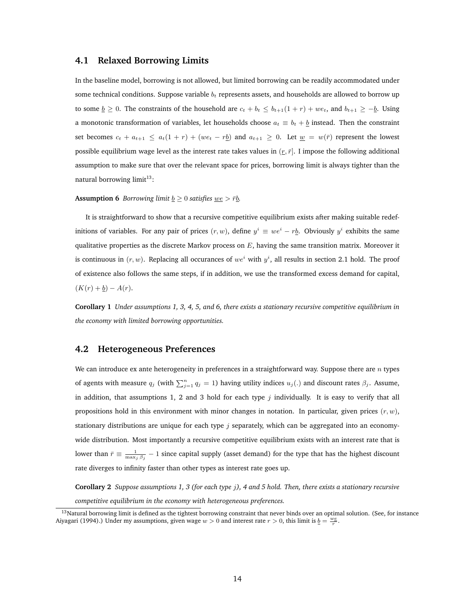#### **4.1 Relaxed Borrowing Limits**

In the baseline model, borrowing is not allowed, but limited borrowing can be readily accommodated under some technical conditions. Suppose variable  $b_t$  represents assets, and households are allowed to borrow up to some  $\underline{b} \geq 0$ . The constraints of the household are  $c_t + b_t \leq b_{t+1}(1+r) + we_t$ , and  $b_{t+1} \geq -\underline{b}$ . Using a monotonic transformation of variables, let households choose  $a_t \equiv b_t + b$  instead. Then the constraint set becomes  $c_t + a_{t+1} \le a_t(1+r) + (we_t - r_0)$  and  $a_{t+1} \ge 0$ . Let  $w = w(\bar{r})$  represent the lowest possible equilibrium wage level as the interest rate takes values in  $(r, \bar{r})$ . I impose the following additional assumption to make sure that over the relevant space for prices, borrowing limit is always tighter than the natural borrowing limit $13$ :

#### **Assumption 6** *Borrowing limit*  $\underline{b} \ge 0$  *satisfies*  $\underline{we} > \overline{r}\underline{b}$ *.*

It is straightforward to show that a recursive competitive equilibrium exists after making suitable redefinitions of variables. For any pair of prices  $(r, w)$ , define  $y^i \equiv we^i - rb$ . Obviously  $y^i$  exhibits the same qualitative properties as the discrete Markov process on  $E$ , having the same transition matrix. Moreover it is continuous in  $(r, w)$ . Replacing all occurances of  $we^i$  with  $y^i$ , all results in section 2.1 hold. The proof of existence also follows the same steps, if in addition, we use the transformed excess demand for capital,  $(K(r) + b) - A(r)$ .

**Corollary 1** *Under assumptions 1, 3, 4, 5, and 6, there exists a stationary recursive competitive equilibrium in the economy with limited borrowing opportunities.*

#### **4.2 Heterogeneous Preferences**

We can introduce ex ante heterogeneity in preferences in a straightforward way. Suppose there are  $n$  types of agents with measure  $q_j$  (with  $\sum_{j=1}^n q_j = 1$ ) having utility indices  $u_j(.)$  and discount rates  $\beta_j$ . Assume, in addition, that assumptions 1, 2 and 3 hold for each type  $j$  individually. It is easy to verify that all propositions hold in this environment with minor changes in notation. In particular, given prices  $(r, w)$ , stationary distributions are unique for each type  $j$  separately, which can be aggregated into an economywide distribution. Most importantly a recursive competitive equilibrium exists with an interest rate that is lower than  $\bar{r} \equiv \frac{1}{\max_j \beta_j} - 1$  since capital supply (asset demand) for the type that has the highest discount rate diverges to infinity faster than other types as interest rate goes up.

**Corollary 2** *Suppose assumptions 1, 3 (for each type* j*), 4 and 5 hold. Then, there exists a stationary recursive competitive equilibrium in the economy with heterogeneous preferences.*

<sup>&</sup>lt;sup>13</sup>Natural borrowing limit is defined as the tightest borrowing constraint that never binds over an optimal solution. (See, for instance Aiyagari (1994).) Under my assumptions, given wage  $w > 0$  and interest rate  $r > 0$ , this limit is  $\underline{b} = \frac{w\underline{e}}{r}$ .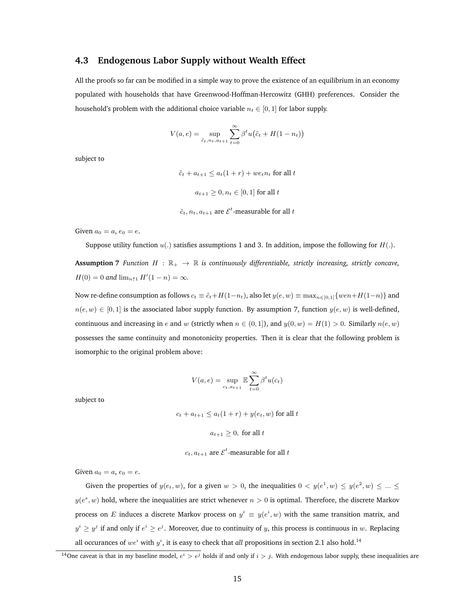#### **4.3 Endogenous Labor Supply without Wealth Effect**

All the proofs so far can be modified in a simple way to prove the existence of an equilibrium in an economy populated with households that have Greenwood-Hoffman-Hercowitz (GHH) preferences. Consider the household's problem with the additional choice variable  $n_t \in [0, 1]$  for labor supply.

$$
V(a, e) = \sup_{\tilde{c}_t, n_t, a_{t+1}} \sum_{t=0}^{\infty} \beta^t u(\tilde{c}_t + H(1 - n_t))
$$

subject to

 $\tilde{c}_t + a_{t+1} \leq a_t(1+r) + we_t n_t$  for all t  $a_{t+1} > 0, n_t \in [0, 1]$  for all t

 $\tilde{c}_t, n_t, a_{t+1}$  are  $\mathcal{E}^t$ -measurable for all  $t$ 

Given  $a_0 = a$ ,  $e_0 = e$ .

Suppose utility function  $u(.)$  satisfies assumptions 1 and 3. In addition, impose the following for  $H(.)$ .

**Assumption 7** *Function*  $H : \mathbb{R}_+ \to \mathbb{R}$  *is continuously differentiable, strictly increasing, strictly concave,*  $H(0) = 0$  and  $\lim_{n \uparrow 1} H'(1 - n) = \infty$ .

Now re-define consumption as follows  $c_t \equiv \tilde{c}_t + H(1-n_t)$ , also let  $y(e, w) \equiv \max_{n \in [0,1]} \{wen + H(1-n)\}$  and  $n(e, w) \in [0, 1]$  is the associated labor supply function. By assumption 7, function  $y(e, w)$  is well-defined, continuous and increasing in e and w (strictly when  $n \in (0, 1]$ ), and  $y(0, w) = H(1) > 0$ . Similarly  $n(e, w)$ possesses the same continuity and monotonicity properties. Then it is clear that the following problem is isomorphic to the original problem above:

$$
V(a, e) = \sup_{ct, a_{t+1}} \mathbb{E} \sum_{t=0}^{\infty} \beta^t u(c_t)
$$

subject to

 $c_t + a_{t+1} \le a_t(1+r) + y(e_t, w)$  for all t

 $a_{t+1} > 0$ , for all t

 $c_t, a_{t+1}$  are  $\mathcal{E}^t$ -measurable for all  $t$ 

Given  $a_0 = a$ ,  $e_0 = e$ .

Given the properties of  $y(e_t, w)$ , for a given  $w > 0$ , the inequalities  $0 < y(e^1, w) \leq y(e^2, w) \leq ... \leq$  $y(e^s, w)$  hold, where the inequalities are strict whenever  $n > 0$  is optimal. Therefore, the discrete Markov process on  $E$  induces a discrete Markov process on  $y^i \equiv y(e^i, w)$  with the same transition matrix, and  $y^i \geq y^j$  if and only if  $e^i \geq e^j$ . Moreover, due to continuity of y, this process is continuous in w. Replacing all occurances of  $we^i$  with  $y^i$ , it is easy to check that *all* propositions in section 2.1 also hold.<sup>14</sup>

<sup>&</sup>lt;sup>14</sup>One caveat is that in my baseline model,  $e^i > e^j$  holds if and only if  $i > j$ . With endogenous labor supply, these inequalities are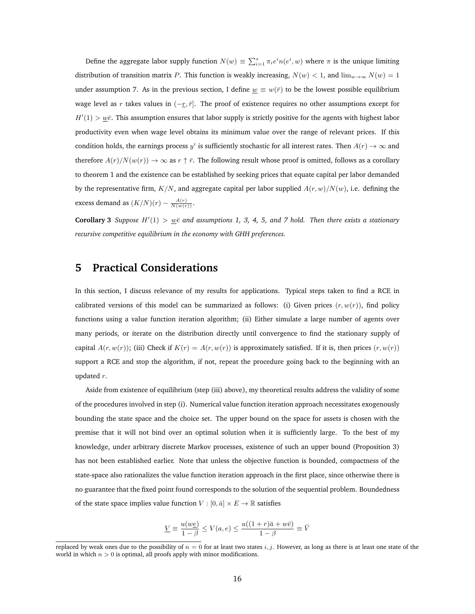Define the aggregate labor supply function  $N(w) \equiv \sum_{i=1}^{s} \pi_i e^i n(e^i, w)$  where  $\pi$  is the unique limiting distribution of transition matrix P. This function is weakly increasing,  $N(w) < 1$ , and  $\lim_{w\to\infty} N(w) = 1$ under assumption 7. As in the previous section, I define  $\underline{w} \equiv w(\overline{r})$  to be the lowest possible equilibrium wage level as r takes values in  $(-r, \bar{r}]$ . The proof of existence requires no other assumptions except for  $H'(1) > w\bar{e}$ . This assumption ensures that labor supply is strictly positive for the agents with highest labor productivity even when wage level obtains its minimum value over the range of relevant prices. If this condition holds, the earnings process  $y^i$  is sufficiently stochastic for all interest rates. Then  $A(r) \to \infty$  and therefore  $A(r)/N(w(r)) \to \infty$  as  $r \uparrow \bar{r}$ . The following result whose proof is omitted, follows as a corollary to theorem 1 and the existence can be established by seeking prices that equate capital per labor demanded by the representative firm,  $K/N$ , and aggregate capital per labor supplied  $A(r, w)/N(w)$ , i.e. defining the excess demand as  $(K/N)(r) - \frac{A(r)}{N(w(r))}$ .

**Corollary 3** *Suppose*  $H'(1) > w\bar{e}$  and assumptions 1, 3, 4, 5, and 7 hold. Then there exists a stationary *recursive competitive equilibrium in the economy with GHH preferences.*

## **5 Practical Considerations**

In this section, I discuss relevance of my results for applications. Typical steps taken to find a RCE in calibrated versions of this model can be summarized as follows: (i) Given prices  $(r, w(r))$ , find policy functions using a value function iteration algorithm; (ii) Either simulate a large number of agents over many periods, or iterate on the distribution directly until convergence to find the stationary supply of capital  $A(r, w(r))$ ; (iii) Check if  $K(r) = A(r, w(r))$  is approximately satisfied. If it is, then prices  $(r, w(r))$ support a RCE and stop the algorithm, if not, repeat the procedure going back to the beginning with an updated r.

Aside from existence of equilibrium (step (iii) above), my theoretical results address the validity of some of the procedures involved in step (i). Numerical value function iteration approach necessitates exogenously bounding the state space and the choice set. The upper bound on the space for assets is chosen with the premise that it will not bind over an optimal solution when it is sufficiently large. To the best of my knowledge, under arbitrary discrete Markov processes, existence of such an upper bound (Proposition 3) has not been established earlier. Note that unless the objective function is bounded, compactness of the state-space also rationalizes the value function iteration approach in the first place, since otherwise there is no guarantee that the fixed point found corresponds to the solution of the sequential problem. Boundedness of the state space implies value function  $V : [0, \bar{a}] \times E \rightarrow \mathbb{R}$  satisfies

$$
\underline{V}\equiv \frac{u(w\underline{e})}{1-\beta}\leq V(a,e)\leq \frac{u((1+r)\bar{a}+w\bar{e})}{1-\beta}\equiv \bar{V}
$$

replaced by weak ones due to the possibility of  $n = 0$  for at least two states i, j. However, as long as there is at least one state of the world in which  $n > 0$  is optimal, all proofs apply with minor modifications.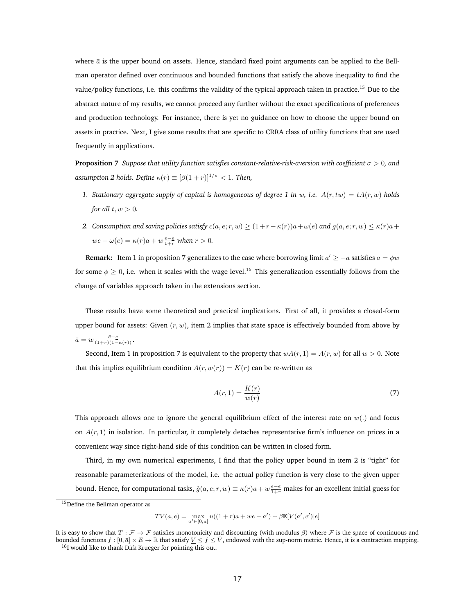where  $\bar{a}$  is the upper bound on assets. Hence, standard fixed point arguments can be applied to the Bellman operator defined over continuous and bounded functions that satisfy the above inequality to find the value/policy functions, i.e. this confirms the validity of the typical approach taken in practice.<sup>15</sup> Due to the abstract nature of my results, we cannot proceed any further without the exact specifications of preferences and production technology. For instance, there is yet no guidance on how to choose the upper bound on assets in practice. Next, I give some results that are specific to CRRA class of utility functions that are used frequently in applications.

**Proposition 7** *Suppose that utility function satisfies constant-relative-risk-aversion with coefficient* σ > 0*, and assumption 2 holds. Define*  $\kappa(r) \equiv [\beta(1+r)]^{1/\sigma} < 1$ . Then,

- *1. Stationary aggregate supply of capital is homogeneous of degree 1 in w, i.e.*  $A(r, tw) = tA(r, w)$  *holds for all*  $t, w > 0$ *.*
- *2.* Consumption and saving policies satisfy  $c(a, e; r, w) \ge (1 + r \kappa(r))a + \omega(e)$  and  $g(a, e; r, w) \le \kappa(r)a + \omega(r)$  $we - \omega(e) = \kappa(r)a + w\frac{e-e}{1+r}$  when  $r > 0$ .

**Remark:** Item 1 in proposition 7 generalizes to the case where borrowing limit  $a' \geq -a$  satisfies  $\underline{a} = \phi w$ for some  $\phi \geq 0$ , i.e. when it scales with the wage level.<sup>16</sup> This generalization essentially follows from the change of variables approach taken in the extensions section.

These results have some theoretical and practical implications. First of all, it provides a closed-form upper bound for assets: Given  $(r, w)$ , item 2 implies that state space is effectively bounded from above by  $\bar{a}=w\frac{\bar{e}-\underline{e}}{(1+r)(1-\kappa(r))}.$ 

Second, Item 1 in proposition 7 is equivalent to the property that  $wA(r, 1) = A(r, w)$  for all  $w > 0$ . Note that this implies equilibrium condition  $A(r, w(r)) = K(r)$  can be re-written as

$$
A(r,1) = \frac{K(r)}{w(r)}\tag{7}
$$

This approach allows one to ignore the general equilibrium effect of the interest rate on  $w(.)$  and focus on  $A(r, 1)$  in isolation. In particular, it completely detaches representative firm's influence on prices in a convenient way since right-hand side of this condition can be written in closed form.

Third, in my own numerical experiments, I find that the policy upper bound in item 2 is "tight" for reasonable parameterizations of the model, i.e. the actual policy function is very close to the given upper bound. Hence, for computational tasks,  $\hat{g}(a,e;r,w)\equiv \kappa(r)a+w\frac{e-e}{1+r}$  makes for an excellent initial guess for

<sup>15</sup>Define the Bellman operator as

 $TV(a, e) = \max_{a' \in [0, \bar{a}]} u((1+r)a + we - a') + \beta \mathbb{E}[V(a', e')]e]$ 

It is easy to show that  $T : \mathcal{F} \to \mathcal{F}$  satisfies monotonicity and discounting (with modulus  $\beta$ ) where  $\mathcal{F}$  is the space of continuous and bounded functions  $f : [0, \bar{a}] \times E \to \mathbb{R}$  that satisfy  $\underline{V} \le f \le \bar{V}$ <sup>16</sup>I would like to thank Dirk Krueger for pointing this out.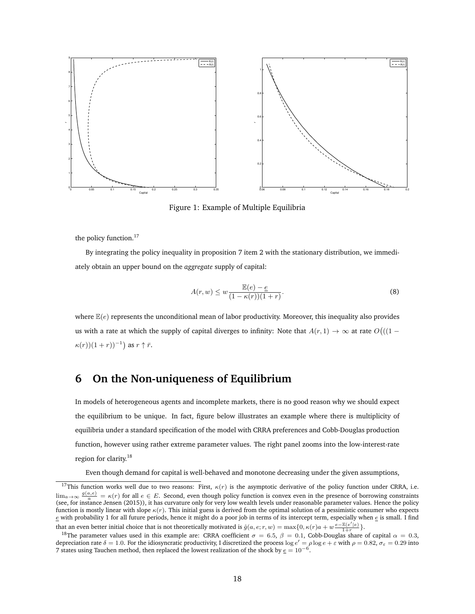

Figure 1: Example of Multiple Equilibria

the policy function.<sup>17</sup>

By integrating the policy inequality in proposition 7 item 2 with the stationary distribution, we immediately obtain an upper bound on the *aggregate* supply of capital:

$$
A(r, w) \le w \frac{\mathbb{E}(e) - e}{(1 - \kappa(r))(1 + r)}.
$$
\n(8)

where  $\mathbb{E}(e)$  represents the unconditional mean of labor productivity. Moreover, this inequality also provides us with a rate at which the supply of capital diverges to infinity: Note that  $A(r, 1) \to \infty$  at rate  $O((1 - r^2))$  $\kappa(r)(1+r))^{-1}$  as  $r \uparrow \bar{r}$ .

# **6 On the Non-uniqueness of Equilibrium**

In models of heterogeneous agents and incomplete markets, there is no good reason why we should expect the equilibrium to be unique. In fact, figure below illustrates an example where there is multiplicity of equilibria under a standard specification of the model with CRRA preferences and Cobb-Douglas production function, however using rather extreme parameter values. The right panel zooms into the low-interest-rate region for clarity.<sup>18</sup>

Even though demand for capital is well-behaved and monotone decreasing under the given assumptions,

<sup>&</sup>lt;sup>17</sup>This function works well due to two reasons: First,  $\kappa(r)$  is the asymptotic derivative of the policy function under CRRA, i.e.  $\lim_{a\to\infty} \frac{g(a,e)}{a} = \kappa(r)$  for all  $e \in E$ . Second, even though policy function is convex even in the presence of borrowing constraints (see, for instance Jensen (2015)), it has curvature only for very low wealth levels under reasonable parameter values. Hence the policy function is mostly linear with slope  $\kappa(r)$ . This initial guess is derived from the optimal solution of a pessimistic consumer who expects  $e$  with probability 1 for all future periods, hence it might do a poor job in terms of its intercept term, especially when  $e$  is small. I find that an even better initial choice that is not theoretically motivated is  $\hat{g}(a, e; r, w) = \max\{0, \kappa(r)a + w \frac{e - \mathbb{E}(e'|e)}{1+r}\}.$ 

<sup>&</sup>lt;sup>18</sup>The parameter values used in this example are: CRRA coefficient  $\sigma = 6.5$ ,  $\beta = 0.1$ , Cobb-Douglas share of capital  $\alpha = 0.3$ , depreciation rate  $\delta = 1.0$ . For the idiosyncratic productivity, I discretized the process  $\log e' = \rho \log e + \varepsilon$  with  $\rho = 0.82$ ,  $\sigma_{\varepsilon} = 0.29$  into 7 states using Tauchen method, then replaced the lowest realization of the shock by  $\epsilon = 10^{-6}$ .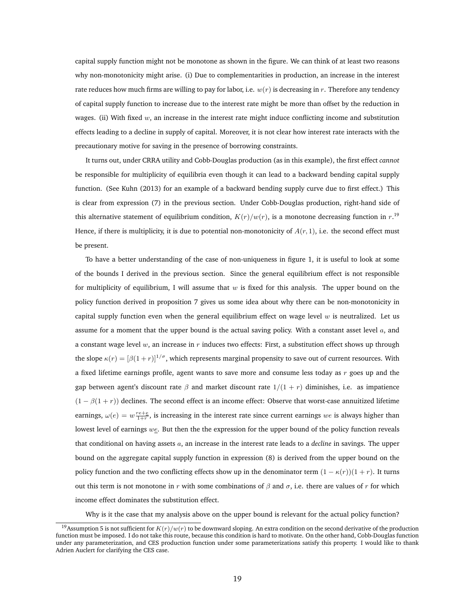capital supply function might not be monotone as shown in the figure. We can think of at least two reasons why non-monotonicity might arise. (i) Due to complementarities in production, an increase in the interest rate reduces how much firms are willing to pay for labor, i.e.  $w(r)$  is decreasing in r. Therefore any tendency of capital supply function to increase due to the interest rate might be more than offset by the reduction in wages. (ii) With fixed  $w$ , an increase in the interest rate might induce conflicting income and substitution effects leading to a decline in supply of capital. Moreover, it is not clear how interest rate interacts with the precautionary motive for saving in the presence of borrowing constraints.

It turns out, under CRRA utility and Cobb-Douglas production (as in this example), the first effect *cannot* be responsible for multiplicity of equilibria even though it can lead to a backward bending capital supply function. (See Kuhn (2013) for an example of a backward bending supply curve due to first effect.) This is clear from expression (7) in the previous section. Under Cobb-Douglas production, right-hand side of this alternative statement of equilibrium condition,  $K(r)/w(r)$ , is a monotone decreasing function in  $r.^{19}$ . Hence, if there is multiplicity, it is due to potential non-monotonicity of  $A(r, 1)$ , i.e. the second effect must be present.

To have a better understanding of the case of non-uniqueness in figure 1, it is useful to look at some of the bounds I derived in the previous section. Since the general equilibrium effect is not responsible for multiplicity of equilibrium, I will assume that  $w$  is fixed for this analysis. The upper bound on the policy function derived in proposition 7 gives us some idea about why there can be non-monotonicity in capital supply function even when the general equilibrium effect on wage level  $w$  is neutralized. Let us assume for a moment that the upper bound is the actual saving policy. With a constant asset level  $a$ , and a constant wage level  $w$ , an increase in  $r$  induces two effects: First, a substitution effect shows up through the slope  $\kappa(r) = [\beta(1+r)]^{1/\sigma}$ , which represents marginal propensity to save out of current resources. With a fixed lifetime earnings profile, agent wants to save more and consume less today as r goes up and the gap between agent's discount rate  $\beta$  and market discount rate  $1/(1 + r)$  diminishes, i.e. as impatience  $(1 - \beta(1 + r))$  declines. The second effect is an income effect: Observe that worst-case annuitized lifetime earnings,  $\omega(e) = w \frac{re + e}{1+r}$ , is increasing in the interest rate since current earnings we is always higher than lowest level of earnings we. But then the the expression for the upper bound of the policy function reveals that conditional on having assets a, an increase in the interest rate leads to a *decline* in savings. The upper bound on the aggregate capital supply function in expression (8) is derived from the upper bound on the policy function and the two conflicting effects show up in the denominator term  $(1 - \kappa(r))(1 + r)$ . It turns out this term is not monotone in r with some combinations of  $\beta$  and  $\sigma$ , i.e. there are values of r for which income effect dominates the substitution effect.

Why is it the case that my analysis above on the upper bound is relevant for the actual policy function?

<sup>&</sup>lt;sup>19</sup>Assumption 5 is not sufficient for  $K(r)/w(r)$  to be downward sloping. An extra condition on the second derivative of the production function must be imposed. I do not take this route, because this condition is hard to motivate. On the other hand, Cobb-Douglas function under any parameterization, and CES production function under some parameterizations satisfy this property. I would like to thank Adrien Auclert for clarifying the CES case.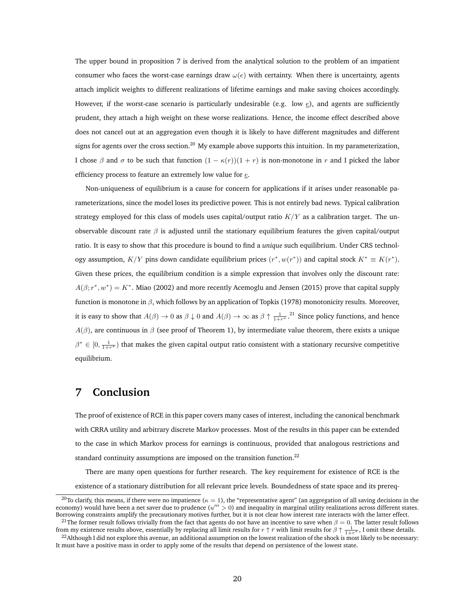The upper bound in proposition 7 is derived from the analytical solution to the problem of an impatient consumer who faces the worst-case earnings draw  $\omega(e)$  with certainty. When there is uncertainty, agents attach implicit weights to different realizations of lifetime earnings and make saving choices accordingly. However, if the worst-case scenario is particularly undesirable (e.g. low  $e$ ), and agents are sufficiently prudent, they attach a high weight on these worse realizations. Hence, the income effect described above does not cancel out at an aggregation even though it is likely to have different magnitudes and different signs for agents over the cross section.<sup>20</sup> My example above supports this intuition. In my parameterization, I chose β and σ to be such that function  $(1 - \kappa(r))(1 + r)$  is non-monotone in r and I picked the labor efficiency process to feature an extremely low value for  $e$ .

Non-uniqueness of equilibrium is a cause for concern for applications if it arises under reasonable parameterizations, since the model loses its predictive power. This is not entirely bad news. Typical calibration strategy employed for this class of models uses capital/output ratio  $K/Y$  as a calibration target. The unobservable discount rate  $\beta$  is adjusted until the stationary equilibrium features the given capital/output ratio. It is easy to show that this procedure is bound to find a *unique* such equilibrium. Under CRS technology assumption,  $K/Y$  pins down candidate equilibrium prices  $(r^*, w(r^*))$  and capital stock  $K^* \equiv K(r^*)$ . Given these prices, the equilibrium condition is a simple expression that involves only the discount rate:  $A(\beta; r^*, w^*) = K^*$ . Miao (2002) and more recently Acemoglu and Jensen (2015) prove that capital supply function is monotone in  $\beta$ , which follows by an application of Topkis (1978) monotonicity results. Moreover, it is easy to show that  $A(\beta) \to 0$  as  $\beta \downarrow 0$  and  $A(\beta) \to \infty$  as  $\beta \uparrow \frac{1}{1+r^*}$ .<sup>21</sup> Since policy functions, and hence  $A(\beta)$ , are continuous in  $\beta$  (see proof of Theorem 1), by intermediate value theorem, there exists a unique  $\beta^* \in [0, \frac{1}{1+r^*})$  that makes the given capital output ratio consistent with a stationary recursive competitive equilibrium.

#### **7 Conclusion**

The proof of existence of RCE in this paper covers many cases of interest, including the canonical benchmark with CRRA utility and arbitrary discrete Markov processes. Most of the results in this paper can be extended to the case in which Markov process for earnings is continuous, provided that analogous restrictions and standard continuity assumptions are imposed on the transition function.<sup>22</sup>

There are many open questions for further research. The key requirement for existence of RCE is the existence of a stationary distribution for all relevant price levels. Boundedness of state space and its prereq-

<sup>&</sup>lt;sup>20</sup>To clarify, this means, if there were no impatience ( $\kappa = 1$ ), the "representative agent" (an aggregation of all saving decisions in the economy) would have been a net saver due to prudence  $(u'' > 0)$  and inequality in marginal utility realizations across different states. Borrowing constraints amplify the precautionary motives further, but it is not clear how interest rate interacts with the latter effect.

<sup>&</sup>lt;sup>21</sup>The former result follows trivially from the fact that agents do not have an incentive to save when  $\beta = 0$ . The latter result follows from my existence results above, essentially by replacing all limit results for  $r \uparrow \bar{r}$  with limit results for  $\beta \uparrow \frac{1}{1+r^*}$ , I omit these details.  $^{22}$ Although I did not explore this avenue, an additional assumption on the lowest realization of the shock is most likely to be necessary:

It must have a positive mass in order to apply some of the results that depend on persistence of the lowest state.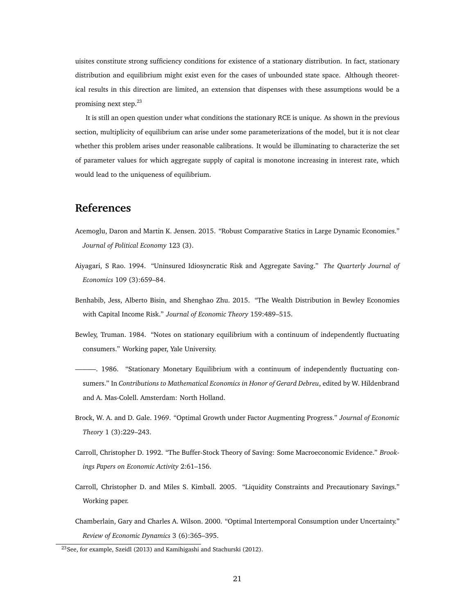uisites constitute strong sufficiency conditions for existence of a stationary distribution. In fact, stationary distribution and equilibrium might exist even for the cases of unbounded state space. Although theoretical results in this direction are limited, an extension that dispenses with these assumptions would be a promising next step.<sup>23</sup>

It is still an open question under what conditions the stationary RCE is unique. As shown in the previous section, multiplicity of equilibrium can arise under some parameterizations of the model, but it is not clear whether this problem arises under reasonable calibrations. It would be illuminating to characterize the set of parameter values for which aggregate supply of capital is monotone increasing in interest rate, which would lead to the uniqueness of equilibrium.

### **References**

- Acemoglu, Daron and Martin K. Jensen. 2015. "Robust Comparative Statics in Large Dynamic Economies." *Journal of Political Economy* 123 (3).
- Aiyagari, S Rao. 1994. "Uninsured Idiosyncratic Risk and Aggregate Saving." *The Quarterly Journal of Economics* 109 (3):659–84.
- Benhabib, Jess, Alberto Bisin, and Shenghao Zhu. 2015. "The Wealth Distribution in Bewley Economies with Capital Income Risk." *Journal of Economic Theory* 159:489–515.
- Bewley, Truman. 1984. "Notes on stationary equilibrium with a continuum of independently fluctuating consumers." Working paper, Yale University.
- ———. 1986. "Stationary Monetary Equilibrium with a continuum of independently fluctuating consumers." In *Contributions to Mathematical Economics in Honor of Gerard Debreu*, edited by W. Hildenbrand and A. Mas-Colell. Amsterdam: North Holland.
- Brock, W. A. and D. Gale. 1969. "Optimal Growth under Factor Augmenting Progress." *Journal of Economic Theory* 1 (3):229–243.
- Carroll, Christopher D. 1992. "The Buffer-Stock Theory of Saving: Some Macroeconomic Evidence." *Brookings Papers on Economic Activity* 2:61–156.
- Carroll, Christopher D. and Miles S. Kimball. 2005. "Liquidity Constraints and Precautionary Savings." Working paper.
- Chamberlain, Gary and Charles A. Wilson. 2000. "Optimal Intertemporal Consumption under Uncertainty." *Review of Economic Dynamics* 3 (6):365–395.

<sup>23</sup>See, for example, Szeidl (2013) and Kamihigashi and Stachurski (2012).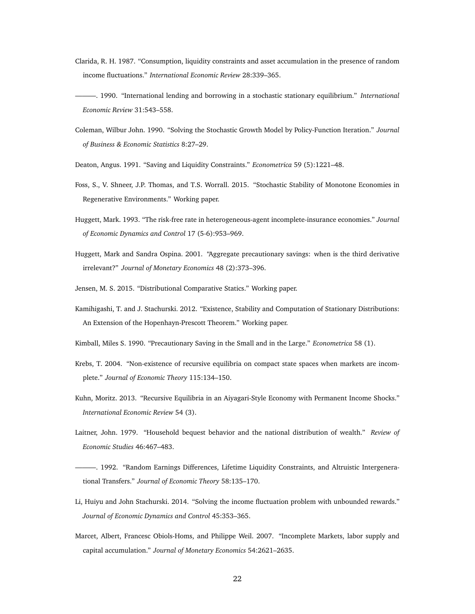- Clarida, R. H. 1987. "Consumption, liquidity constraints and asset accumulation in the presence of random income fluctuations." *International Economic Review* 28:339–365.
- ———. 1990. "International lending and borrowing in a stochastic stationary equilibrium." *International Economic Review* 31:543–558.
- Coleman, Wilbur John. 1990. "Solving the Stochastic Growth Model by Policy-Function Iteration." *Journal of Business & Economic Statistics* 8:27–29.
- Deaton, Angus. 1991. "Saving and Liquidity Constraints." *Econometrica* 59 (5):1221–48.
- Foss, S., V. Shneer, J.P. Thomas, and T.S. Worrall. 2015. "Stochastic Stability of Monotone Economies in Regenerative Environments." Working paper.
- Huggett, Mark. 1993. "The risk-free rate in heterogeneous-agent incomplete-insurance economies." *Journal of Economic Dynamics and Control* 17 (5-6):953–969.
- Huggett, Mark and Sandra Ospina. 2001. "Aggregate precautionary savings: when is the third derivative irrelevant?" *Journal of Monetary Economics* 48 (2):373–396.
- Jensen, M. S. 2015. "Distributional Comparative Statics." Working paper.
- Kamihigashi, T. and J. Stachurski. 2012. "Existence, Stability and Computation of Stationary Distributions: An Extension of the Hopenhayn-Prescott Theorem." Working paper.
- Kimball, Miles S. 1990. "Precautionary Saving in the Small and in the Large." *Econometrica* 58 (1).
- Krebs, T. 2004. "Non-existence of recursive equilibria on compact state spaces when markets are incomplete." *Journal of Economic Theory* 115:134–150.
- Kuhn, Moritz. 2013. "Recursive Equilibria in an Aiyagari-Style Economy with Permanent Income Shocks." *International Economic Review* 54 (3).
- Laitner, John. 1979. "Household bequest behavior and the national distribution of wealth." *Review of Economic Studies* 46:467–483.
- ———. 1992. "Random Earnings Differences, Lifetime Liquidity Constraints, and Altruistic Intergenerational Transfers." *Journal of Economic Theory* 58:135–170.
- Li, Huiyu and John Stachurski. 2014. "Solving the income fluctuation problem with unbounded rewards." *Journal of Economic Dynamics and Control* 45:353–365.
- Marcet, Albert, Francesc Obiols-Homs, and Philippe Weil. 2007. "Incomplete Markets, labor supply and capital accumulation." *Journal of Monetary Economics* 54:2621–2635.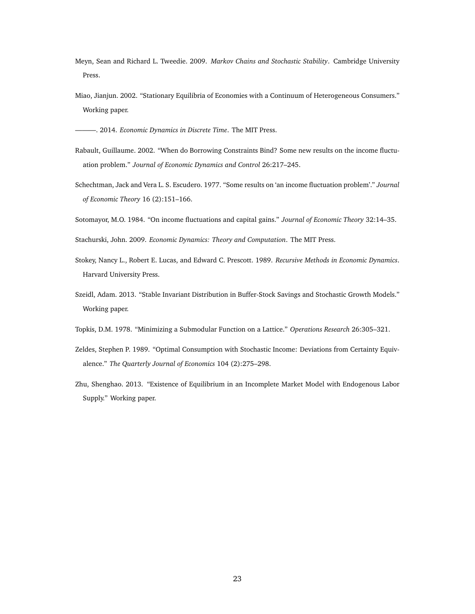- Meyn, Sean and Richard L. Tweedie. 2009. *Markov Chains and Stochastic Stability*. Cambridge University Press.
- Miao, Jianjun. 2002. "Stationary Equilibria of Economies with a Continuum of Heterogeneous Consumers." Working paper.

———. 2014. *Economic Dynamics in Discrete Time*. The MIT Press.

- Rabault, Guillaume. 2002. "When do Borrowing Constraints Bind? Some new results on the income fluctuation problem." *Journal of Economic Dynamics and Control* 26:217–245.
- Schechtman, Jack and Vera L. S. Escudero. 1977. "Some results on 'an income fluctuation problem'." *Journal of Economic Theory* 16 (2):151–166.
- Sotomayor, M.O. 1984. "On income fluctuations and capital gains." *Journal of Economic Theory* 32:14–35.
- Stachurski, John. 2009. *Economic Dynamics: Theory and Computation*. The MIT Press.
- Stokey, Nancy L., Robert E. Lucas, and Edward C. Prescott. 1989. *Recursive Methods in Economic Dynamics*. Harvard University Press.
- Szeidl, Adam. 2013. "Stable Invariant Distribution in Buffer-Stock Savings and Stochastic Growth Models." Working paper.
- Topkis, D.M. 1978. "Minimizing a Submodular Function on a Lattice." *Operations Research* 26:305–321.
- Zeldes, Stephen P. 1989. "Optimal Consumption with Stochastic Income: Deviations from Certainty Equivalence." *The Quarterly Journal of Economics* 104 (2):275–298.
- Zhu, Shenghao. 2013. "Existence of Equilibrium in an Incomplete Market Model with Endogenous Labor Supply." Working paper.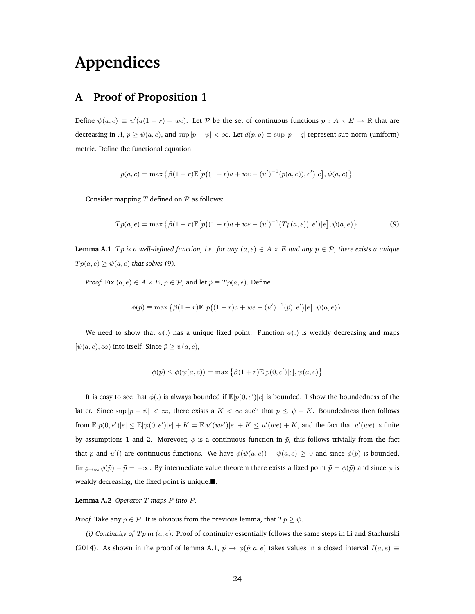# **Appendices**

# **A Proof of Proposition 1**

Define  $\psi(a,e) \equiv u'(a(1+r) + we)$ . Let P be the set of continuous functions  $p : A \times E \to \mathbb{R}$  that are decreasing in  $A, p \ge \psi(a, e)$ , and  $\sup |p - \psi| < \infty$ . Let  $d(p, q) \equiv \sup |p - q|$  represent sup-norm (uniform) metric. Define the functional equation

$$
p(a,e) = \max \{ \beta(1+r) \mathbb{E} \big[ p((1+r)a + we - (u')^{-1}(p(a,e)),e') | e \big], \psi(a,e) \}.
$$

Consider mapping  $T$  defined on  $P$  as follows:

$$
Tp(a,e) = \max \left\{ \beta(1+r)\mathbb{E}\left[p\big((1+r)a + we - (u')^{-1}(Tp(a,e)),e'\big)|e\right], \psi(a,e) \right\}.
$$
 (9)

**Lemma A.1**  $T_p$  *is a well-defined function, i.e. for any*  $(a, e) \in A \times E$  *and any*  $p \in \mathcal{P}$ *, there exists a unique*  $Tp(a, e) \ge \psi(a, e)$  *that solves* (9).

*Proof.* Fix  $(a, e) \in A \times E$ ,  $p \in \mathcal{P}$ , and let  $\tilde{p} \equiv T p(a, e)$ . Define

$$
\phi(\tilde{p}) \equiv \max \{ \beta(1+r) \mathbb{E} \big[ p((1+r)a + we - (u')^{-1}(\tilde{p}), e') | e \big], \psi(a, e) \}.
$$

We need to show that  $\phi(.)$  has a unique fixed point. Function  $\phi(.)$  is weakly decreasing and maps  $[\psi(a, e), \infty)$  into itself. Since  $\tilde{p} \geq \psi(a, e),$ 

$$
\phi(\tilde{p}) \le \phi(\psi(a, e)) = \max \{ \beta(1+r)\mathbb{E}[p(0, e')]e], \psi(a, e) \}
$$

It is easy to see that  $\phi(.)$  is always bounded if  $\mathbb{E}[p(0,e')|e]$  is bounded. I show the boundedness of the latter. Since sup  $|p - \psi| < \infty$ , there exists a  $K < \infty$  such that  $p \le \psi + K$ . Boundedness then follows from  $\mathbb{E}[p(0, e')|e] \leq \mathbb{E}[\psi(0, e')|e] + K = \mathbb{E}[u'(we')|e] + K \leq u'(w\underline{e}) + K$ , and the fact that  $u'(w\underline{e})$  is finite by assumptions 1 and 2. Morevoer,  $\phi$  is a continuous function in  $\tilde{p}$ , this follows trivially from the fact that p and u'() are continuous functions. We have  $\phi(\psi(a,e)) - \psi(a,e) \ge 0$  and since  $\phi(\tilde{p})$  is bounded,  $\lim_{\tilde{p}\to\infty}\phi(\tilde{p})-\tilde{p}=-\infty$ . By intermediate value theorem there exists a fixed point  $\tilde{p}=\phi(\tilde{p})$  and since  $\phi$  is weakly decreasing, the fixed point is unique. $\blacksquare$ .

**Lemma A.2** *Operator* T *maps* P *into* P*.*

*Proof.* Take any  $p \in \mathcal{P}$ . It is obvious from the previous lemma, that  $Tp \geq \psi$ .

*(i) Continuity of*  $Tp$  *in*  $(a, e)$ : Proof of continuity essentially follows the same steps in Li and Stachurski (2014). As shown in the proof of lemma A.1,  $\tilde{p} \to \phi(\tilde{p}; a, e)$  takes values in a closed interval  $I(a, e) \equiv$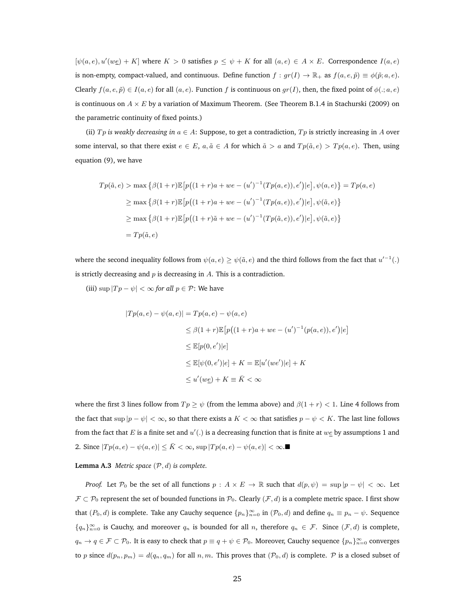$[\psi(a, e), u'(we)] + K$  where  $K > 0$  satisfies  $p \le \psi + K$  for all  $(a, e) \in A \times E$ . Correspondence  $I(a, e)$ is non-empty, compact-valued, and continuous. Define function  $f : gr(I) \to \mathbb{R}_+$  as  $f(a, e, \tilde{p}) \equiv \phi(\tilde{p}; a, e)$ . Clearly  $f(a, e, \tilde{p}) \in I(a, e)$  for all  $(a, e)$ . Function f is continuous on  $gr(I)$ , then, the fixed point of  $\phi(.; a, e)$ is continuous on  $A \times E$  by a variation of Maximum Theorem. (See Theorem B.1.4 in Stachurski (2009) on the parametric continuity of fixed points.)

(ii)  $Tp$  *is weakly decreasing in*  $a \in A$ : Suppose, to get a contradiction,  $Tp$  is strictly increasing in A over some interval, so that there exist  $e \in E$ ,  $a, \tilde{a} \in A$  for which  $\tilde{a} > a$  and  $Tp(\tilde{a}, e) > Tp(a, e)$ . Then, using equation (9), we have

$$
Tp(\tilde{a}, e) > \max \{ \beta(1+r)\mathbb{E} \left[ p((1+r)a + we - (u')^{-1}(Tp(a, e)), e') | e \right], \psi(a, e) \} = Tp(a, e)
$$
  
\n
$$
\geq \max \{ \beta(1+r)\mathbb{E} \left[ p((1+r)a + we - (u')^{-1}(Tp(a, e)), e') | e \right], \psi(\tilde{a}, e) \}
$$
  
\n
$$
\geq \max \{ \beta(1+r)\mathbb{E} \left[ p((1+r)\tilde{a} + we - (u')^{-1}(Tp(\tilde{a}, e)), e') | e \right], \psi(\tilde{a}, e) \}
$$
  
\n
$$
= Tp(\tilde{a}, e)
$$

where the second inequality follows from  $\psi(a,e) \geq \psi(\tilde{a},e)$  and the third follows from the fact that  $u'^{-1}(.)$ is strictly decreasing and  $p$  is decreasing in  $A$ . This is a contradiction.

(iii)  $\sup |Tp - \psi| < \infty$  *for all*  $p \in \mathcal{P}$ : We have

$$
|Tp(a,e) - \psi(a,e)| = Tp(a,e) - \psi(a,e)
$$
  
\n
$$
\leq \beta(1+r)\mathbb{E}\big[p((1+r)a + we - (u')^{-1}(p(a,e)),e')|e\big]
$$
  
\n
$$
\leq \mathbb{E}[p(0,e')|e]
$$
  
\n
$$
\leq \mathbb{E}[\psi(0,e')|e] + K = \mathbb{E}[u'(we')|e] + K
$$
  
\n
$$
\leq u'(w\underline{e}) + K \equiv \overline{K} < \infty
$$

where the first 3 lines follow from  $Tp\geq\psi$  (from the lemma above) and  $\beta(1+r)<1$ . Line 4 follows from the fact that  $\sup |p - \psi| < \infty$ , so that there exists a  $K < \infty$  that satisfies  $p - \psi < K$ . The last line follows from the fact that E is a finite set and  $u'$ .) is a decreasing function that is finite at  $w \in B$  by assumptions 1 and 2. Since  $|Tp(a, e) - \psi(a, e)| \le \bar{K} < \infty$ , sup  $|Tp(a, e) - \psi(a, e)| < \infty$ .■

**Lemma A.3** *Metric space*  $(P, d)$  *is complete.* 

*Proof.* Let  $\mathcal{P}_0$  be the set of all functions  $p : A \times E \to \mathbb{R}$  such that  $d(p, \psi) = \sup |p - \psi| < \infty$ . Let  $\mathcal{F} \subset \mathcal{P}_0$  represent the set of bounded functions in  $\mathcal{P}_0$ . Clearly  $(\mathcal{F}, d)$  is a complete metric space. I first show that  $(P_0, d)$  is complete. Take any Cauchy sequence  $\{p_n\}_{n=0}^{\infty}$  in  $(\mathcal{P}_0, d)$  and define  $q_n \equiv p_n - \psi$ . Sequence  ${q_n}_{n=0}^{\infty}$  is Cauchy, and moreover  $q_n$  is bounded for all n, therefore  $q_n \in \mathcal{F}$ . Since  $(\mathcal{F}, d)$  is complete,  $q_n \to q \in \mathcal{F} \subset \mathcal{P}_0$ . It is easy to check that  $p \equiv q + \psi \in \mathcal{P}_0$ . Moreover, Cauchy sequence  $\{p_n\}_{n=0}^{\infty}$  converges to p since  $d(p_n, p_m) = d(q_n, q_m)$  for all  $n, m$ . This proves that  $(\mathcal{P}_0, d)$  is complete.  $\mathcal P$  is a closed subset of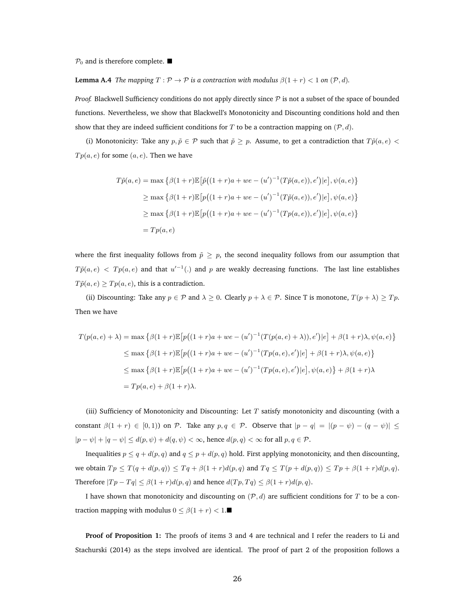$P_0$  and is therefore complete.  $\blacksquare$ 

**Lemma A.4** *The mapping*  $T : \mathcal{P} \to \mathcal{P}$  *is a contraction with modulus*  $\beta(1+r) < 1$  *on*  $(\mathcal{P}, d)$ *.* 

*Proof.* Blackwell Sufficiency conditions do not apply directly since  $P$  is not a subset of the space of bounded functions. Nevertheless, we show that Blackwell's Monotonicity and Discounting conditions hold and then show that they are indeed sufficient conditions for T to be a contraction mapping on  $(\mathcal{P}, d)$ .

(i) Monotonicity: Take any  $p, \tilde{p} \in \mathcal{P}$  such that  $\tilde{p} \geq p$ . Assume, to get a contradiction that  $T\tilde{p}(a, e)$  <  $Tp(a, e)$  for some  $(a, e)$ . Then we have

$$
T\tilde{p}(a,e) = \max \left\{ \beta(1+r)\mathbb{E} \left[ \tilde{p}((1+r)a + we - (u')^{-1}(T\tilde{p}(a,e)),e') | e \right], \psi(a,e) \right\}
$$
  
\n
$$
\geq \max \left\{ \beta(1+r)\mathbb{E} \left[ p((1+r)a + we - (u')^{-1}(T\tilde{p}(a,e)),e') | e \right], \psi(a,e) \right\}
$$
  
\n
$$
\geq \max \left\{ \beta(1+r)\mathbb{E} \left[ p((1+r)a + we - (u')^{-1}(Tp(a,e)),e') | e \right], \psi(a,e) \right\}
$$
  
\n
$$
= Tp(a,e)
$$

where the first inequality follows from  $\tilde{p} \geq p$ , the second inequality follows from our assumption that  $T\tilde{p}(a,e) < Tp(a,e)$  and that  $u'^{-1}(.)$  and p are weakly decreasing functions. The last line establishes  $T\tilde{p}(a, e) \ge Tp(a, e)$ , this is a contradiction.

(ii) Discounting: Take any  $p \in \mathcal{P}$  and  $\lambda \geq 0$ . Clearly  $p + \lambda \in \mathcal{P}$ . Since T is monotone,  $T(p + \lambda) \geq Tp$ . Then we have

$$
T(p(a, e) + \lambda) = \max \left\{ \beta(1+r) \mathbb{E} \left[ p((1+r)a + we - (u')^{-1} (T(p(a, e) + \lambda)), e') | e \right] + \beta(1+r) \lambda, \psi(a, e) \right\}
$$
  

$$
\leq \max \left\{ \beta(1+r) \mathbb{E} \left[ p((1+r)a + we - (u')^{-1} (Tp(a, e), e') | e \right] + \beta(1+r) \lambda, \psi(a, e) \right\}
$$
  

$$
\leq \max \left\{ \beta(1+r) \mathbb{E} \left[ p((1+r)a + we - (u')^{-1} (Tp(a, e), e') | e \right], \psi(a, e) \right\} + \beta(1+r) \lambda
$$
  

$$
= Tp(a, e) + \beta(1+r) \lambda.
$$

(iii) Sufficiency of Monotonicity and Discounting: Let  $T$  satisfy monotonicity and discounting (with a constant  $\beta(1 + r) \in [0, 1)$  on  $\mathcal{P}$ . Take any  $p, q \in \mathcal{P}$ . Observe that  $|p - q| = |(p - \psi) - (q - \psi)| \le$  $|p - \psi| + |q - \psi| \le d(p, \psi) + d(q, \psi) < \infty$ , hence  $d(p, q) < \infty$  for all  $p, q \in \mathcal{P}$ .

Inequalities  $p \le q + d(p, q)$  and  $q \le p + d(p, q)$  hold. First applying monotonicity, and then discounting, we obtain  $Tp \leq T(q + d(p, q)) \leq Tq + \beta(1 + r)d(p, q)$  and  $Tq \leq T(p + d(p, q)) \leq Tp + \beta(1 + r)d(p, q)$ . Therefore  $|Tp - Tq| \leq \beta(1+r)d(p,q)$  and hence  $d(Tp, Tq) \leq \beta(1+r)d(p,q)$ .

I have shown that monotonicity and discounting on  $(P, d)$  are sufficient conditions for T to be a contraction mapping with modulus  $0 \le \beta(1+r) < 1$ .

**Proof of Proposition 1:** The proofs of items 3 and 4 are technical and I refer the readers to Li and Stachurski (2014) as the steps involved are identical. The proof of part 2 of the proposition follows a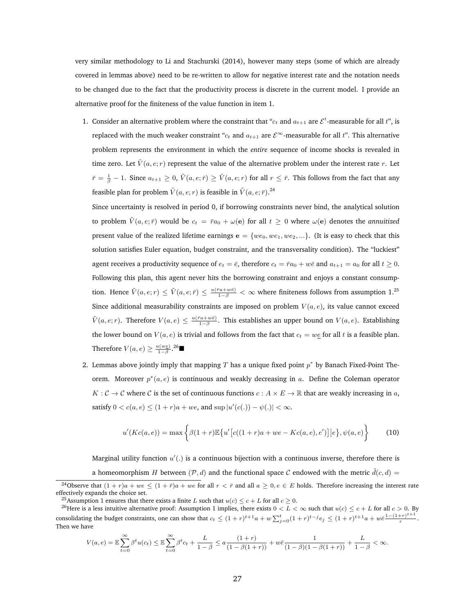very similar methodology to Li and Stachurski (2014), however many steps (some of which are already covered in lemmas above) need to be re-written to allow for negative interest rate and the notation needs to be changed due to the fact that the productivity process is discrete in the current model. I provide an alternative proof for the finiteness of the value function in item 1.

1. Consider an alternative problem where the constraint that " $c_t$  and  $a_{t+1}$  are  $\mathcal{E}^t$ -measurable for all  $t$ ", is replaced with the much weaker constraint " $c_t$  and  $a_{t+1}$  are  $\mathcal{E}^{\infty}$ -measurable for all  $t$ ". This alternative problem represents the environment in which the *entire* sequence of income shocks is revealed in time zero. Let  $\tilde{V}(a, e; r)$  represent the value of the alternative problem under the interest rate r. Let  $\bar{r} = \frac{1}{\beta} - 1$ . Since  $a_{t+1} \geq 0$ ,  $\tilde{V}(a, e; \bar{r}) \geq \tilde{V}(a, e; r)$  for all  $r \leq \bar{r}$ . This follows from the fact that any feasible plan for problem  $\tilde{V}(a,e;r)$  is feasible in  $\tilde{V}(a,e;\bar{r})$ .<sup>24</sup>

Since uncertainty is resolved in period 0, if borrowing constraints never bind, the analytical solution to problem  $\tilde{V}(a, e; \vec{r})$  would be  $c_t = \bar{r}a_0 + \omega(e)$  for all  $t \ge 0$  where  $\omega(e)$  denotes the *annuitized* present value of the realized lifetime earnings  $e = \{we_0, we_1, we_2, ...\}$ . (It is easy to check that this solution satisfies Euler equation, budget constraint, and the transversality condition). The "luckiest" agent receives a productivity sequence of  $e_t = \bar{e}$ , therefore  $c_t = \bar{r}a_0 + w\bar{e}$  and  $a_{t+1} = a_0$  for all  $t \ge 0$ . Following this plan, this agent never hits the borrowing constraint and enjoys a constant consumption. Hence  $\tilde{V}(a,e;r) \leq \tilde{V}(a,e;\bar{r}) \leq \frac{u(\bar{r}a+w\bar{e})}{1-\beta} < \infty$  where finiteness follows from assumption 1.<sup>25</sup> Since additional measurability constraints are imposed on problem  $V(a, e)$ , its value cannot exceed  $\tilde{V}(a,e;r)$ . Therefore  $V(a,e) \leq \frac{u(\bar{r}a+w\bar{e})}{1-\beta}$ . This establishes an upper bound on  $V(a,e)$ . Establishing the lower bound on  $V(a, e)$  is trivial and follows from the fact that  $c_t = w \cdot e$  for all t is a feasible plan. Therefore  $V(a, e) \geq \frac{u(w_0)}{1-\beta}$ .<sup>26</sup>■

2. Lemmas above jointly imply that mapping  $T$  has a unique fixed point  $p^*$  by Banach Fixed-Point Theorem. Moreover  $p^*(a, e)$  is continuous and weakly decreasing in a. Define the Coleman operator  $K: \mathcal{C} \to \mathcal{C}$  where  $\mathcal{C}$  is the set of continuous functions  $c: A \times E \to \mathbb{R}$  that are weakly increasing in a, satisfy  $0 < c(a, e) \le (1 + r)a + we$ , and  $\sup |u'(c(.)) - \psi(.)| < \infty$ .

$$
u'(Kc(a,e)) = \max \left\{ \beta(1+r) \mathbb{E} \left\{ u' \left[ c((1+r)a + we - Kc(a,e), e') \right] \middle| e \right\}, \psi(a,e) \right\} \tag{10}
$$

Marginal utility function  $u'(.)$  is a continuous bijection with a continuous inverse, therefore there is a homeomorphism H between  $(\mathcal{P}, d)$  and the functional space C endowed with the metric  $\tilde{d}(c, d)$  =

$$
V(a, e) = \mathbb{E} \sum_{t=0}^{\infty} \beta^t u(c_t) \le \mathbb{E} \sum_{t=0}^{\infty} \beta^t c_t + \frac{L}{1-\beta} \le a \frac{(1+r)}{(1-\beta(1+r))} + w\bar{e} \frac{1}{(1-\beta)(1-\beta(1+r))} + \frac{L}{1-\beta} < \infty.
$$

<sup>&</sup>lt;sup>24</sup>Observe that  $(1 + r)a + we \leq (1 + \bar{r})a + we$  for all  $r < \bar{r}$  and all  $a \geq 0, e \in E$  holds. Therefore increasing the interest rate effectively expands the choice set.

<sup>&</sup>lt;sup>25</sup>Assumption 1 ensures that there exists a finite L such that  $u(c) \leq c + L$  for all  $c \geq 0$ .

<sup>&</sup>lt;sup>26</sup>Here is a less intuitive alternative proof: Assumption 1 implies, there exists  $0 < L < \infty$  such that  $u(c) \leq c + L$  for all  $c > 0$ . By consolidating the budget constraints, one can show that  $c_t \leq (1+r)^{t+1}a + w\sum_{j=0}^t (1+r)^{t-j}e_j \leq (1+r)^{t+1}a + w\bar{e}^{\frac{1-(1+r)^{t+1}}{r}}$  $\frac{r}{r}$ . Then we have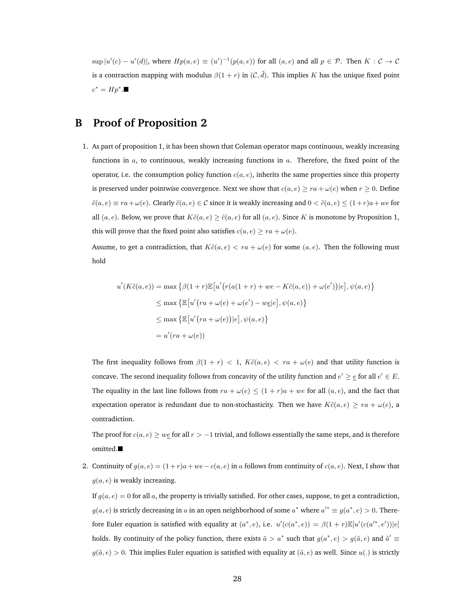$\sup |u'(c) - u'(d)|$ , where  $H p(a, e) \equiv (u')^{-1}(p(a, e))$  for all  $(a, e)$  and all  $p \in \mathcal{P}$ . Then  $K : \mathcal{C} \to \mathcal{C}$ is a contraction mapping with modulus  $\beta(1 + r)$  in  $(C, \tilde{d})$ . This implies K has the unique fixed point  $c^* = Hp^*$ .■

# **B Proof of Proposition 2**

1. As part of proposition 1, it has been shown that Coleman operator maps continuous, weakly increasing functions in  $a$ , to continuous, weakly increasing functions in  $a$ . Therefore, the fixed point of the operator, i.e. the consumption policy function  $c(a, e)$ , inherits the same properties since this property is preserved under pointwise convergence. Next we show that  $c(a, e) \ge ra + \omega(e)$  when  $r \ge 0$ . Define  $\tilde{c}(a, e) \equiv ra + \omega(e)$ . Clearly  $\tilde{c}(a, e) \in \mathcal{C}$  since it is weakly increasing and  $0 < \tilde{c}(a, e) \leq (1+r)a + we$  for all  $(a, e)$ . Below, we prove that  $K\tilde{c}(a, e) \geq \tilde{c}(a, e)$  for all  $(a, e)$ . Since K is monotone by Proposition 1, this will prove that the fixed point also satisfies  $c(a, e) \ge ra + \omega(e)$ .

Assume, to get a contradiction, that  $K\tilde{c}(a, e) < ra + \omega(e)$  for some  $(a, e)$ . Then the following must hold

$$
u'(K\tilde{c}(a,e)) = \max \left\{ \beta(1+r) \mathbb{E} \left[ u'(r(a(1+r) + we - K\tilde{c}(a,e)) + \omega(e')) \middle| e \right], \psi(a,e) \right\}
$$
  
\n
$$
\leq \max \left\{ \mathbb{E} \left[ u'(ra + \omega(e) + \omega(e') - we \middle| e \right], \psi(a,e) \right\}
$$
  
\n
$$
\leq \max \left\{ \mathbb{E} \left[ u'(ra + \omega(e)) \middle| e \right], \psi(a,e) \right\}
$$
  
\n
$$
= u'(ra + \omega(e))
$$

The first inequality follows from  $\beta(1 + r) < 1$ ,  $K\tilde{c}(a, e) < ra + \omega(e)$  and that utility function is concave. The second inequality follows from concavity of the utility function and  $e' \geq e$  for all  $e' \in E$ . The equality in the last line follows from  $ra + \omega(e) \leq (1+r)a + we$  for all  $(a, e)$ , and the fact that expectation operator is redundant due to non-stochasticity. Then we have  $K\tilde{c}(a, e) \geq ra + \omega(e)$ , a contradiction.

The proof for  $c(a, e) \geq w \leq 1$  for all  $r > -1$  trivial, and follows essentially the same steps, and is therefore omitted.

2. Continuity of  $g(a, e) = (1+r)a + we - c(a, e)$  in a follows from continuity of  $c(a, e)$ . Next, I show that  $g(a, e)$  is weakly increasing.

If  $g(a, e) = 0$  for all a, the property is trivially satisfied. For other cases, suppose, to get a contradiction,  $g(a, e)$  is strictly decreasing in a in an open neighborhood of some  $a^*$  where  $a'^* \equiv g(a^*, e) > 0$ . Therefore Euler equation is satisfied with equality at  $(a^*, e)$ , i.e.  $u'(c(a^*, e)) = \beta(1+r)\mathbb{E}[u'(c(a'^*, e'))|e]$ holds. By continuity of the policy function, there exists  $\tilde{a} > a^*$  such that  $g(a^*, e) > g(\tilde{a}, e)$  and  $\tilde{a}' \equiv$  $q(\tilde{a}, e) > 0$ . This implies Euler equation is satisfied with equality at  $(\tilde{a}, e)$  as well. Since  $u(.)$  is strictly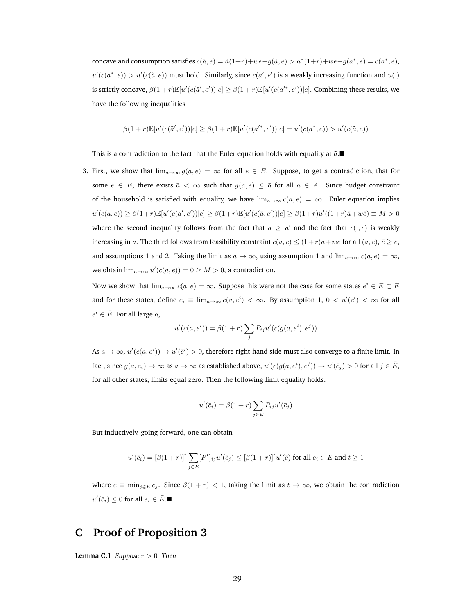concave and consumption satisfies  $c(\tilde{a}, e) = \tilde{a}(1+r) + we - g(\tilde{a}, e) > a^*(1+r) + we - g(a^*, e) = c(a^*, e)$ ,  $u'(c(a^*, e)) > u'(c(\tilde{a}, e))$  must hold. Similarly, since  $c(a', e')$  is a weakly increasing function and  $u(.)$ is strictly concave,  $\beta(1+r)\mathbb{E}[u'(c(\tilde{a}',e'))|e] \geq \beta(1+r)\mathbb{E}[u'(c(a'^*,e'))|e]$ . Combining these results, we have the following inequalities

$$
\beta(1+r)\mathbb{E}[u'(c(\tilde{a}',e'))|e] \geq \beta(1+r)\mathbb{E}[u'(c(a^{'}^*,e'))|e] = u'(c(a^*,e)) > u'(c(\tilde{a},e))
$$

This is a contradiction to the fact that the Euler equation holds with equality at  $\tilde{a}$ .

3. First, we show that  $\lim_{a\to\infty} g(a, e) = \infty$  for all  $e \in E$ . Suppose, to get a contradiction, that for some  $e \in E$ , there exists  $\bar{a} < \infty$  such that  $g(a, e) \leq \bar{a}$  for all  $a \in A$ . Since budget constraint of the household is satisfied with equality, we have  $\lim_{a\to\infty} c(a,e) = \infty$ . Euler equation implies  $u'(c(a, e)) \geq \beta(1+r)\mathbb{E}[u'(c(a', e'))|e] \geq \beta(1+r)\mathbb{E}[u'(c(\bar{a}, e'))|e] \geq \beta(1+r)u'((1+r)\bar{a}+w\bar{e}) \equiv M > 0$ where the second inequality follows from the fact that  $\bar{a} \ge a'$  and the fact that  $c(., e)$  is weakly increasing in a. The third follows from feasibility constraint  $c(a, e) \leq (1+r)a + we$  for all  $(a, e), \overline{e} \geq e$ , and assumptions 1 and 2. Taking the limit as  $a \to \infty$ , using assumption 1 and lim $_{a\to\infty} c(a, e) = \infty$ , we obtain  $\lim_{a\to\infty} u'(c(a,e)) = 0 \ge M > 0$ , a contradiction.

Now we show that  $\lim_{a\to\infty}c(a,e)=\infty.$  Suppose this were not the case for some states  $e^i\in\bar{E}\subset E$ and for these states, define  $\bar{c}_i \equiv \lim_{a\to\infty} c(a,e^i) < \infty$ . By assumption 1,  $0 < u'(\bar{c}^i) < \infty$  for all  $e^i \in \overline{E}$ . For all large  $a$ ,

$$
u'(c(a, ei)) = \beta(1+r) \sum_{j} P_{ij} u'(c(g(a, ei), ej))
$$

As  $a \to \infty$ ,  $u'(c(a, e^i)) \to u'(\bar{c}^i) > 0$ , therefore right-hand side must also converge to a finite limit. In fact, since  $g(a, e_i) \to \infty$  as  $a \to \infty$  as established above,  $u'(c(g(a, e^i), e^j)) \to u'(\bar{c}_j) > 0$  for all  $j \in \bar{E}$ , for all other states, limits equal zero. Then the following limit equality holds:

$$
u'(\bar{c}_i) = \beta(1+r) \sum_{j \in \bar{E}} P_{ij} u'(\bar{c}_j)
$$

But inductively, going forward, one can obtain

$$
u'(\bar{c}_i) = [\beta(1+r)]^t \sum_{j \in \bar{E}} [P^t]_{ij} u'(\bar{c}_j) \leq [\beta(1+r)]^t u'(\bar{c}) \text{ for all } e_i \in \bar{E} \text{ and } t \geq 1
$$

where  $\bar{c} \equiv \min_{j \in \bar{E}} \bar{c}_j$ . Since  $\beta(1 + r) < 1$ , taking the limit as  $t \to \infty$ , we obtain the contradiction  $u'(\bar{c}_i) \leq 0$  for all  $e_i \in \bar{E}$ .

# **C Proof of Proposition 3**

**Lemma C.1** *Suppose*  $r > 0$ *. Then*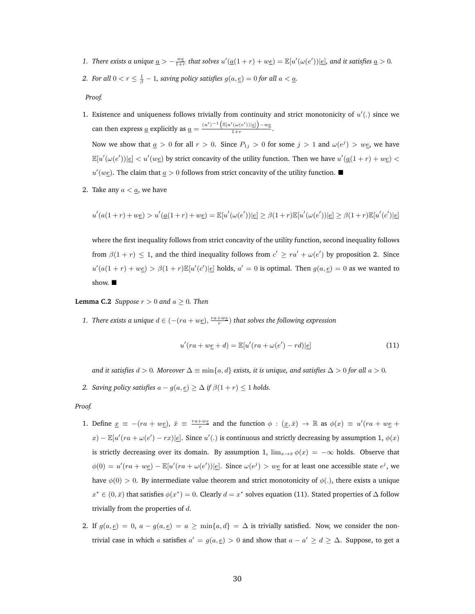- 1. There exists a unique  $\underline{a} > -\frac{we}{1+r}$  that solves  $u'(\underline{a}(1+r) + w\underline{e}) = \mathbb{E}[u'(\omega(e'))|\underline{e}]$ , and it satisfies  $\underline{a} > 0$ .
- 2. For all  $0 < r \leq \frac{1}{\beta} 1$ , saving policy satisfies  $g(a,\underline{e}) = 0$  for all  $a < \underline{a}.$

*Proof.*

- 1. Existence and uniqueness follows trivially from continuity and strict monotonicity of  $u'(.)$  since we can then express <u>a</u> explicitly as <u>a</u> =  $\frac{(u')^{-1} (\mathbb{E}[u'(\omega(e'))|\underline{e}]) - w \underline{e}}{1 + r}$  $\frac{(\alpha(c))\log r}{1+r}$ . Now we show that  $\underline{a} > 0$  for all  $r > 0$ . Since  $P_{1j} > 0$  for some  $j > 1$  and  $\omega(e^{j}) > w_{\underline{e}}$ , we have  $\mathbb{E}[u'(\omega(e'))|\underline{e}] < u'(w\underline{e})$  by strict concavity of the utility function. Then we have  $u'(\underline{a}(1+r) + w\underline{e})$  $u'(w_1)$ . The claim that  $\underline{a} > 0$  follows from strict concavity of the utility function.
- 2. Take any  $a < a$ , we have

$$
u'(a(1+r) + w \underline{e}) > u'(\underline{a}(1+r) + w \underline{e}) = \mathbb{E}[u'(\omega(e'))|\underline{e}] \geq \beta(1+r)\mathbb{E}[u'(\omega(e'))|\underline{e}] \geq \beta(1+r)\mathbb{E}[u'(c')|\underline{e}]
$$

where the first inequality follows from strict concavity of the utility function, second inequality follows from  $\beta(1+r) \leq 1$ , and the third inequality follows from  $c' \geq ra' + \omega(e')$  by proposition 2. Since  $u'(a(1+r)+we) > \beta(1+r)\mathbb{E}[u'(c')|e]$  holds,  $a' = 0$  is optimal. Then  $g(a,e) = 0$  as we wanted to show.

**Lemma C.2** *Suppose*  $r > 0$  *and*  $a > 0$ *. Then* 

*1. There exists a unique*  $d \in \left( -(ra + we \right), \frac{ra + we}{r} \right)$  *that solves the following expression* 

$$
u'(ra + w\underline{e} + d) = \mathbb{E}[u'(ra + \omega(e') - rd)]\underline{e}] \tag{11}
$$

*and it satisfies*  $d > 0$ *. Moreover*  $\Delta \equiv \min\{a, d\}$  *exists, it is unique, and satisfies*  $\Delta > 0$  *for all*  $a > 0$ *.* 

*2. Saving policy satisfies*  $a - g(a, \underline{e}) \ge \Delta$  *if*  $\beta(1 + r) \le 1$  *holds.* 

#### *Proof.*

- 1. Define  $\underline{x} \equiv -(ra + w\underline{e})$ ,  $\overline{x} \equiv \frac{ra + w\underline{e}}{r}$  and the function  $\phi : (\underline{x}, \overline{x}) \to \mathbb{R}$  as  $\phi(x) \equiv u'(ra + w\underline{e} + \phi(x))$  $(x) - \mathbb{E}[u'(ra + \omega(e') - rx)|\epsilon].$  Since  $u'(.)$  is continuous and strictly decreasing by assumption 1,  $\phi(x)$ is strictly decreasing over its domain. By assumption 1,  $\lim_{x\to\bar{x}}\phi(x) = -\infty$  holds. Observe that  $\phi(0) = u'(ra + w\underline{e}) - \mathbb{E}[u'(ra + \omega(e'))]\underline{e}].$  Since  $\omega(e^j) > w\underline{e}$  for at least one accessible state  $e^j$ , we have  $\phi(0) > 0$ . By intermediate value theorem and strict monotonicity of  $\phi(.)$ , there exists a unique  $x^* \in (0, \bar{x})$  that satisfies  $\phi(x^*) = 0$ . Clearly  $d = x^*$  solves equation (11). Stated properties of  $\Delta$  follow trivially from the properties of  $d$ .
- 2. If  $g(a, \underline{e}) = 0$ ,  $a g(a, \underline{e}) = a \ge \min\{a, d\} = \Delta$  is trivially satisfied. Now, we consider the nontrivial case in which a satisfies  $a' = g(a, \underline{e}) > 0$  and show that  $a - a' \geq d \geq \Delta$ . Suppose, to get a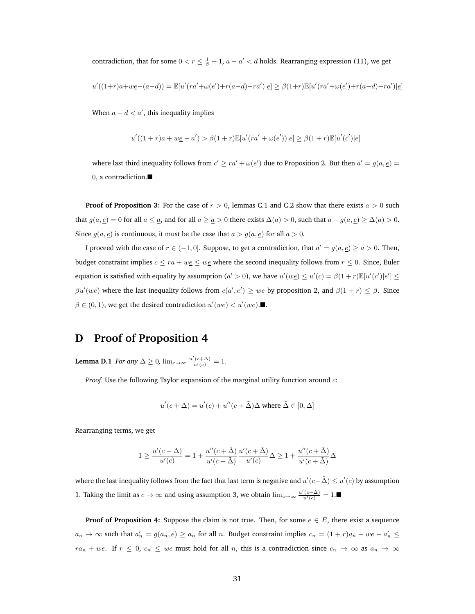contradiction, that for some  $0 < r \leq \frac{1}{\beta} - 1$ ,  $a - a' < d$  holds. Rearranging expression (11), we get

$$
u'((1+r)a + w\underline{e} - (a-d)) = \mathbb{E}[u'(ra' + \omega(e') + r(a-d) - ra')] \underline{e}] \geq \beta(1+r)\mathbb{E}[u'(ra' + \omega(e') + r(a-d) - ra')] \underline{e}]
$$

When  $a - d < a'$ , this inequality implies

$$
u'((1+r)a + w\underline{e} - a') > \beta(1+r)\mathbb{E}[u'(ra' + \omega(e'))|e] \ge \beta(1+r)\mathbb{E}[u'(c')|e]
$$

where last third inequality follows from  $c' \ge ra' + \omega(e')$  due to Proposition 2. But then  $a' = g(a, \underline{e}) =$ 0, a contradiction.

**Proof of Proposition 3:** For the case of  $r > 0$ , lemmas C.1 and C.2 show that there exists  $a > 0$  such that  $g(a, \underline{e}) = 0$  for all  $a \le \underline{a}$ , and for all  $a \ge \underline{a} > 0$  there exists  $\Delta(a) > 0$ , such that  $a - g(a, \underline{e}) \ge \Delta(a) > 0$ . Since  $g(a, \underline{e})$  is continuous, it must be the case that  $a > g(a, \underline{e})$  for all  $a > 0$ .

I proceed with the case of  $r \in (-1, 0]$ . Suppose, to get a contradiction, that  $a' = g(a, \underline{e}) \ge a > 0$ . Then, budget constraint implies  $c \le ra + we \le w$ g where the second inequality follows from  $r \le 0$ . Since, Euler equation is satisfied with equality by assumption (a' > 0), we have  $u'(w \underline{e}) \le u'(c) = \beta(1+r)\mathbb{E}[u'(c')|e'] \le$  $\beta u'(we)$  where the last inequality follows from  $c(a', e') \geq we$  by proposition 2, and  $\beta(1+r) \leq \beta$ . Since  $\beta \in (0, 1)$ , we get the desired contradiction  $u'(w \underline{e}) < u'(w \underline{e})$ .

# **D Proof of Proposition 4**

**Lemma D.1** *For any*  $\Delta \geq 0$ ,  $\lim_{c \to \infty} \frac{u'(c+\Delta)}{u'(c)} = 1$ .

*Proof.* Use the following Taylor expansion of the marginal utility function around  $c$ :

$$
u'(c + \Delta) = u'(c) + u''(c + \tilde{\Delta})\Delta
$$
 where  $\tilde{\Delta} \in [0, \Delta]$ 

Rearranging terms, we get

$$
1 \geq \frac{u'(c+\Delta)}{u'(c)} = 1 + \frac{u''(c+\tilde{\Delta})}{u'(c+\tilde{\Delta})} \frac{u'(c+\tilde{\Delta})}{u'(c)} \Delta \geq 1 + \frac{u''(c+\tilde{\Delta})}{u'(c+\tilde{\Delta})} \Delta
$$

where the last inequality follows from the fact that last term is negative and  $u'(c+\tilde \Delta)\leq u'(c)$  by assumption 1. Taking the limit as  $c \to \infty$  and using assumption 3, we obtain  $\lim_{c \to \infty} \frac{u'(c+\Delta)}{u'(c)} = 1$ .■

**Proof of Proposition 4:** Suppose the claim is not true. Then, for some  $e \in E$ , there exist a sequence  $a_n \to \infty$  such that  $a'_n = g(a_n, e) \ge a_n$  for all n. Budget constraint implies  $c_n = (1+r)a_n + we - a'_n \le$  $ra_n + we$ . If  $r \leq 0$ ,  $c_n \leq we$  must hold for all n, this is a contradiction since  $c_n \to \infty$  as  $a_n \to \infty$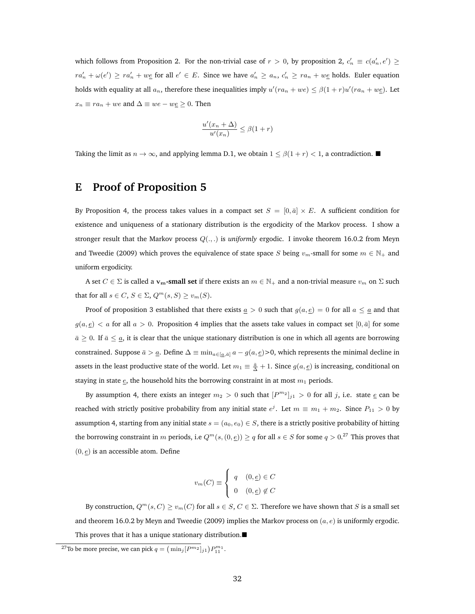which follows from Proposition 2. For the non-trivial case of  $r > 0$ , by proposition 2,  $c'_n \equiv c(a'_n, e') \geq 0$  $ra'_n + \omega(e') \geq ra'_n + we$  for all  $e' \in E$ . Since we have  $a'_n \geq a_n$ ,  $c'_n \geq ra_n + we$  holds. Euler equation holds with equality at all  $a_n$ , therefore these inequalities imply  $u'(ra_n + we) \leq \beta(1+r)u'(ra_n + we)$ . Let  $x_n \equiv ra_n + we$  and  $\Delta \equiv we - we \geq 0$ . Then

$$
\frac{u'(x_n + \Delta)}{u'(x_n)} \le \beta(1+r)
$$

Taking the limit as  $n \to \infty$ , and applying lemma D.1, we obtain  $1 \le \beta(1+r) < 1$ , a contradiction.

## **E Proof of Proposition 5**

By Proposition 4, the process takes values in a compact set  $S = [0, \bar{a}] \times E$ . A sufficient condition for existence and uniqueness of a stationary distribution is the ergodicity of the Markov process. I show a stronger result that the Markov process Q(., .) is *uniformly* ergodic. I invoke theorem 16.0.2 from Meyn and Tweedie (2009) which proves the equivalence of state space S being  $v_m$ -small for some  $m \in \mathbb{N}_+$  and uniform ergodicity.

A set  $C \in \Sigma$  is called a **v<sub>m</sub>-small set** if there exists an  $m \in \mathbb{N}_+$  and a non-trivial measure  $v_m$  on  $\Sigma$  such that for all  $s \in C$ ,  $S \in \Sigma$ ,  $Q^m(s, S) \ge v_m(S)$ .

Proof of proposition 3 established that there exists  $\underline{a} > 0$  such that  $g(a, \underline{e}) = 0$  for all  $a \leq \underline{a}$  and that  $g(a, \underline{e}) < a$  for all  $a > 0$ . Proposition 4 implies that the assets take values in compact set  $[0, \overline{a}]$  for some  $\bar{a} \geq 0$ . If  $\bar{a} \leq \underline{a}$ , it is clear that the unique stationary distribution is one in which all agents are borrowing constrained. Suppose  $\bar{a} > \underline{a}$ . Define  $\Delta \equiv \min_{a \in [\underline{a}, \bar{a}]} a - g(a, \underline{e}) > 0$ , which represents the minimal decline in assets in the least productive state of the world. Let  $m_1\equiv \frac{\bar{a}}{\Delta}+1$ . Since  $g(a,\underline{e})$  is increasing, conditional on staying in state  $e$ , the household hits the borrowing constraint in at most  $m_1$  periods.

By assumption 4, there exists an integer  $m_2 > 0$  such that  $[P^{m_2}]_{j1} > 0$  for all j, i.e. state  $\underline{e}$  can be reached with strictly positive probability from any initial state  $e^j$ . Let  $m \equiv m_1 + m_2$ . Since  $P_{11} > 0$  by assumption 4, starting from any initial state  $s = (a_0, e_0) \in S$ , there is a strictly positive probability of hitting the borrowing constraint in  $m$  periods, i.e  $Q^m(s,(0,\underline{e}))\geq q$  for all  $s\in S$  for some  $q>0.^{27}$  This proves that  $(0, \underline{e})$  is an accessible atom. Define

$$
v_m(C) \equiv \begin{cases} q & (0, \underline{e}) \in C \\ 0 & (0, \underline{e}) \notin C \end{cases}
$$

By construction,  $Q^m(s, C) \ge v_m(C)$  for all  $s \in S, C \in \Sigma$ . Therefore we have shown that S is a small set and theorem 16.0.2 by Meyn and Tweedie (2009) implies the Markov process on  $(a, e)$  is uniformly ergodic. This proves that it has a unique stationary distribution.

<sup>&</sup>lt;sup>27</sup>To be more precise, we can pick  $q = (\min_j [P^{m_2}]_{j1}) P_{11}^{m_1}$ .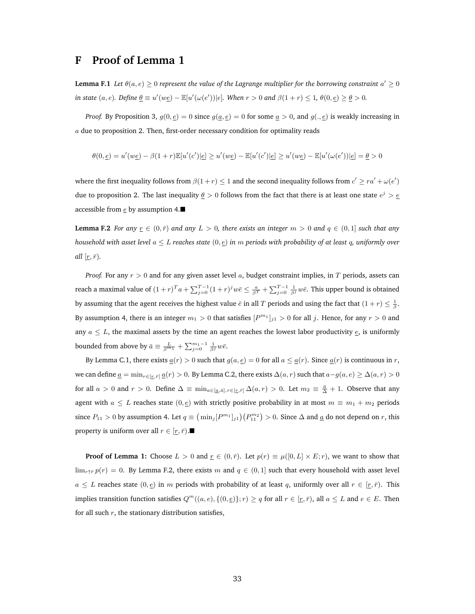### **F Proof of Lemma 1**

**Lemma F.1** Let  $\theta(a, e) \ge 0$  represent the value of the Lagrange multiplier for the borrowing constraint  $a' \ge 0$ *in state*  $(a, e)$ *. Define*  $\underline{\theta} \equiv u'(w\underline{e}) - \mathbb{E}[u'(\omega(e'))|e]$ *. When*  $r > 0$  *and*  $\beta(1+r) \leq 1$ *,*  $\theta(0, \underline{e}) \geq \underline{\theta} > 0$ *.* 

*Proof.* By Proposition 3,  $g(0, \underline{e}) = 0$  since  $g(\underline{a}, \underline{e}) = 0$  for some  $\underline{a} > 0$ , and  $g(., \underline{e})$  is weakly increasing in a due to proposition 2. Then, first-order necessary condition for optimality reads

$$
\theta(0, \underline{e}) = u'(w\underline{e}) - \beta(1+r)\mathbb{E}[u'(c')|\underline{e}] \ge u'(w\underline{e}) - \mathbb{E}[u'(c')|\underline{e}] \ge u'(w\underline{e}) - \mathbb{E}[u'(\omega(e'))|\underline{e}] = \underline{\theta} > 0
$$

where the first inequality follows from  $\beta(1+r) \leq 1$  and the second inequality follows from  $c' \geq ra' + \omega(e')$ due to proposition 2. The last inequality  $\underline{\theta} > 0$  follows from the fact that there is at least one state  $e^j > \underline{e}$ accessible from  $\epsilon$  by assumption 4.

**Lemma F.2** *For any*  $\underline{r} \in (0, \overline{r})$  *and any*  $L > 0$ *, there exists an integer*  $m > 0$  *and*  $q \in (0, 1]$  *such that any household with asset level* a ≤ L *reaches state* (0, e) *in* m *periods with probability of at least* q*, uniformly over all*  $[\underline{r}, \overline{r})$ *.* 

*Proof.* For any  $r > 0$  and for any given asset level a, budget constraint implies, in T periods, assets can reach a maximal value of  $(1+r)^{T}a + \sum_{j=0}^{T-1}(1+r)^{j}w\bar{e} \leq \frac{a}{\beta^{T}} + \sum_{j=0}^{T-1}\frac{1}{\beta^{j}}w\bar{e}$ . This upper bound is obtained by assuming that the agent receives the highest value  $\bar{e}$  in all  $T$  periods and using the fact that  $(1+r) \leq \frac{1}{\beta}$ . By assumption 4, there is an integer  $m_1 > 0$  that satisfies  $[P^{m_1}]_{j_1} > 0$  for all j. Hence, for any  $r > 0$  and any  $a \leq L$ , the maximal assets by the time an agent reaches the lowest labor productivity  $\epsilon$ , is uniformly bounded from above by  $\bar{a} \equiv \frac{L}{\beta^{m_1}} + \sum_{j=0}^{m_1-1} \frac{1}{\beta^j} w \bar{e}$ .

By Lemma C.1, there exists  $\underline{a}(r) > 0$  such that  $g(a, \underline{e}) = 0$  for all  $a \leq \underline{a}(r)$ . Since  $\underline{a}(r)$  is continuous in r, we can define  $\underline{a} = \min_{r \in [r, \bar{r}]} \underline{a}(r) > 0$ . By Lemma C.2, there exists  $\Delta(a, r)$  such that  $a-g(a, e) \geq \Delta(a, r) > 0$ for all  $a > 0$  and  $r > 0$ . Define  $\Delta \equiv \min_{a \in [a,\bar{a}], r \in [\underline{r},\bar{r}]} \Delta(a,r) > 0$ . Let  $m_2 \equiv \frac{\bar{a}}{\Delta} + 1$ . Observe that any agent with  $a \leq L$  reaches state  $(0, \underline{e})$  with strictly positive probability in at most  $m \equiv m_1 + m_2$  periods since  $P_{11} > 0$  by assumption 4. Let  $q \equiv \left(\min_j [P^{m_1}]_{j1}\right) \left(P^{m_2}_{11}\right) > 0$ . Since  $\Delta$  and  $\underline{a}$  do not depend on  $r$ , this property is uniform over all  $r \in [r, \bar{r})$ .

**Proof of Lemma 1:** Choose  $L > 0$  and  $\underline{r} \in (0, \overline{r})$ . Let  $p(r) \equiv \mu([0, L] \times E; r)$ , we want to show that  $\lim_{r\uparrow\bar{r}}p(r)=0$ . By Lemma F.2, there exists m and  $q\in(0,1]$  such that every household with asset level  $a \leq L$  reaches state  $(0, \underline{e})$  in m periods with probability of at least q, uniformly over all  $r \in [\underline{r}, \overline{r})$ . This implies transition function satisfies  $Q^m((a, e), \{(0, \underline{e})\}; r) \geq q$  for all  $r \in [r, \overline{r})$ , all  $a \leq L$  and  $e \in E$ . Then for all such  $r$ , the stationary distribution satisfies,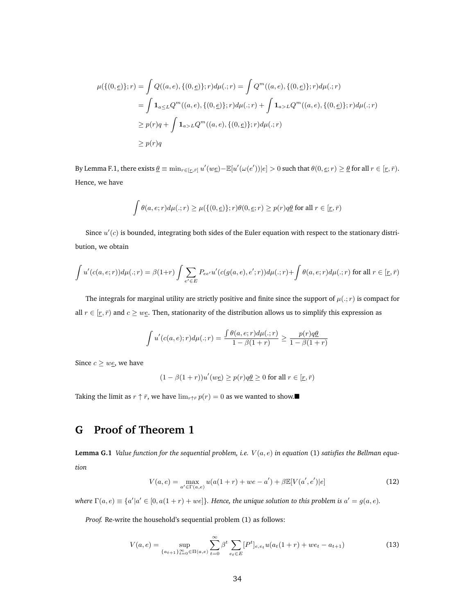$$
\mu(\{(0,\underline{e})\};r) = \int Q((a,e),\{(0,\underline{e})\};r)d\mu(:,r) = \int Q^m((a,e),\{(0,\underline{e})\};r)d\mu(:,r)
$$
  
\n
$$
= \int \mathbf{1}_{a \le L} Q^m((a,e),\{(0,\underline{e})\};r)d\mu(:,r) + \int \mathbf{1}_{a > L} Q^m((a,e),\{(0,\underline{e})\};r)d\mu(:,r)
$$
  
\n
$$
\ge p(r)q + \int \mathbf{1}_{a > L} Q^m((a,e),\{(0,\underline{e})\};r)d\mu(:,r)
$$
  
\n
$$
\ge p(r)q
$$

By Lemma F.1, there exists  $\underline{\theta} \equiv \min_{r \in [\underline{r}, \bar{r}]} u'(w \underline{e}) - \mathbb{E}[u'(\omega(e'))|e] > 0$  such that  $\theta(0, \underline{e}; r) \geq \underline{\theta}$  for all  $r \in [\underline{r}, \bar{r})$ . Hence, we have

$$
\int \theta(a, e; r) d\mu(.; r) \ge \mu(\{(0, \underline{e})\}; r) \theta(0, \underline{e}; r) \ge p(r) q \underline{\theta} \text{ for all } r \in [\underline{r}, \overline{r})
$$

Since  $u'(c)$  is bounded, integrating both sides of the Euler equation with respect to the stationary distribution, we obtain

$$
\int u'(c(a,e;r))d\mu(.;r) = \beta(1+r)\int \sum_{e' \in E} P_{ee'}u'(c(g(a,e),e';r))d\mu(.;r) + \int \theta(a,e;r)d\mu(.;r)
$$
 for all  $r \in [r,\bar{r})$ 

The integrals for marginal utility are strictly positive and finite since the support of  $\mu(.; r)$  is compact for all  $r \in [r, \bar{r}]$  and  $c \geq w_{\mathcal{L}}$ . Then, stationarity of the distribution allows us to simplify this expression as

$$
\int u'(c(a,e);r)d\mu(.;r) = \frac{\int \theta(a,e;r)d\mu(.;r)}{1-\beta(1+r)} \ge \frac{p(r)q\theta}{1-\beta(1+r)}
$$

Since  $c \geq w e$ , we have

$$
(1 - \beta(1+r))u'(w\underline{e}) \ge p(r)q\underline{\theta} \ge 0 \text{ for all } r \in [\underline{r}, \overline{r})
$$

Taking the limit as  $r \uparrow \bar{r}$ , we have  $\lim_{r \uparrow \bar{r}} p(r) = 0$  as we wanted to show.

# **G Proof of Theorem 1**

**Lemma G.1** *Value function for the sequential problem, i.e.*  $V(a, e)$  *in equation* (1) *satisfies the Bellman equation*

$$
V(a, e) = \max_{a' \in \Gamma(a, e)} u(a(1+r) + we - a') + \beta \mathbb{E}[V(a', e')|e]
$$
(12)

*where*  $\Gamma(a, e) \equiv \{a'|a' \in [0, a(1+r) + we]\}$ *. Hence, the unique solution to this problem is*  $a' = g(a, e)$ *.* 

*Proof.* Re-write the household's sequential problem (1) as follows:

$$
V(a,e) = \sup_{\{a_{t+1}\}_{t=0}^{\infty} \in \Pi(a,e)} \sum_{t=0}^{\infty} \beta^t \sum_{e_t \in E} [P^t]_{e,e_t} u(a_t(1+r) + we_t - a_{t+1})
$$
(13)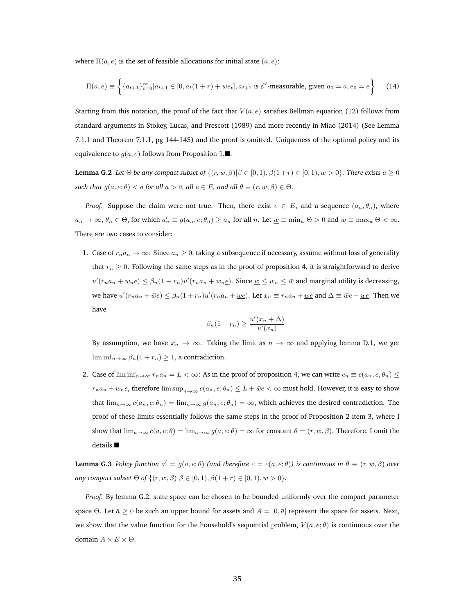where  $\Pi(a, e)$  is the set of feasible allocations for initial state  $(a, e)$ :

$$
\Pi(a, e) \equiv \left\{ \{a_{t+1}\}_{t=0}^{\infty} | a_{t+1} \in [0, a_t(1+r) + we_t], a_{t+1} \text{ is } \mathcal{E}^t \text{-measurable, given } a_0 = a, e_0 = e \right\}
$$
 (14)

Starting from this notation, the proof of the fact that  $V(a, e)$  satisfies Bellman equation (12) follows from standard arguments in Stokey, Lucas, and Prescott (1989) and more recently in Miao (2014) (See Lemma 7.1.1 and Theorem 7.1.1, pg 144-145) and the proof is omitted. Uniqueness of the optimal policy and its equivalence to  $g(a, e)$  follows from Proposition 1. $\blacksquare$ .

**Lemma G.2** *Let*  $\Theta$  *be any compact subset of*  $\{(r, w, \beta) | \beta \in [0, 1), \beta(1+r) \in [0, 1), w > 0\}$ *. There exists*  $\overline{a} \geq 0$ *such that*  $g(a, e; \theta) < a$  *for all*  $a > \bar{a}$ *, all*  $e \in E$ *, and all*  $\theta \equiv (r, w, \beta) \in \Theta$ *.* 

*Proof.* Suppose the claim were not true. Then, there exist  $e \in E$ , and a sequence  $(a_n, \theta_n)$ , where  $a_n \to \infty$ ,  $\theta_n \in \Theta$ , for which  $a'_n \equiv g(a_n, e; \theta_n) \ge a_n$  for all  $n$ . Let  $\underline{w} \equiv \min_w \Theta > 0$  and  $\overline{w} \equiv \max_w \Theta < \infty$ . There are two cases to consider:

1. Case of  $r_{n}a_{n} \to \infty$ : Since  $a_{n} \geq 0$ , taking a subsequence if necessary, assume without loss of generality that  $r_n \geq 0$ . Following the same steps as in the proof of proposition 4, it is straightforward to derive  $u'(r_na_n+w_ne) \leq \beta_n(1+r_n)u'(r_na_n+w_ne)$ . Since  $\underline{w} \leq w_n \leq \overline{w}$  and marginal utility is decreasing, we have  $u'(r_na_n+\bar{w}e) \leq \beta_n(1+r_n)u'(r_na_n+\underline{w}e)$ . Let  $x_n \equiv r_na_n+\underline{w}e$  and  $\Delta \equiv \bar{w}e - \underline{w}e$ . Then we have

$$
\beta_n(1+r_n) \ge \frac{u'(x_n + \Delta)}{u'(x_n)}
$$

By assumption, we have  $x_n \to \infty$ . Taking the limit as  $n \to \infty$  and applying lemma D.1, we get lim inf $_{n\rightarrow\infty}$   $\beta_n(1+r_n)\geq 1$ , a contradiction.

2. Case of  $\liminf_{n\to\infty}r_na_n=L<\infty$ : As in the proof of proposition 4, we can write  $c_n\equiv c(a_n,\epsilon;\theta_n)\leq$  $r_na_n+w_ne$ , therefore  $\limsup_{n\to\infty}c(a_n,e;\theta_n)\leq L+\bar{w}e<\infty$  must hold. However, it is easy to show that  $\lim_{n\to\infty} c(a_n, e; \theta_n) = \lim_{n\to\infty} g(a_n, e; \theta_n) = \infty$ , which achieves the desired contradiction. The proof of these limits essentially follows the same steps in the proof of Proposition 2 item 3, where I show that  $\lim_{a\to\infty} c(a, e; \theta) = \lim_{a\to\infty} g(a, e; \theta) = \infty$  for constant  $\theta = (r, w, \beta)$ . Therefore, I omit the details.

**Lemma G.3** *Policy function*  $a' = g(a, e; \theta)$  *(and therefore*  $c = c(a, e; \theta)$ ) *is continuous in*  $\theta \equiv (r, w, \beta)$  *over any compact subset*  $\Theta$  *of*  $\{(r, w, \beta) | \beta \in [0, 1), \beta(1 + r) \in [0, 1), w > 0\}.$ 

*Proof.* By lemma G.2, state space can be chosen to be bounded uniformly over the compact parameter space Θ. Let  $\bar{a} \geq 0$  be such an upper bound for assets and  $A = [0, \bar{a}]$  represent the space for assets. Next, we show that the value function for the household's sequential problem,  $V(a, e; \theta)$  is continuous over the domain  $A \times E \times \Theta$ .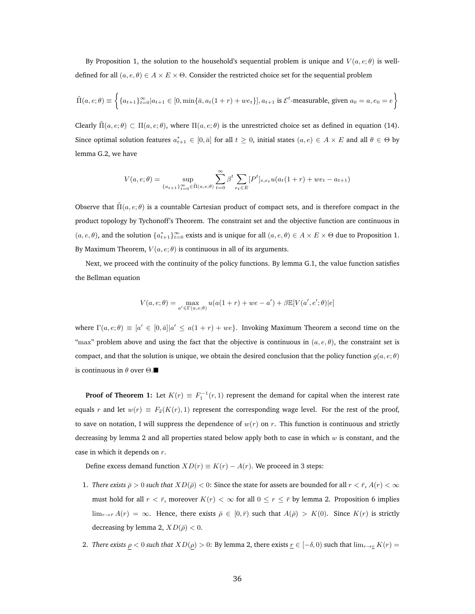By Proposition 1, the solution to the household's sequential problem is unique and  $V(a, e; \theta)$  is welldefined for all  $(a, e, \theta) \in A \times E \times \Theta$ . Consider the restricted choice set for the sequential problem

$$
\tilde{\Pi}(a,e;\theta) \equiv \left\{ \{a_{t+1}\}_{t=0}^{\infty} | a_{t+1} \in [0, \min\{\bar{a}, a_t(1+r) + we_t\}], a_{t+1} \text{ is } \mathcal{E}^t\text{-measurable, given } a_0 = a, e_0 = e \right\}
$$

Clearly  $\tilde{\Pi}(a, e; \theta) \subset \Pi(a, e; \theta)$ , where  $\Pi(a, e; \theta)$  is the unrestricted choice set as defined in equation (14). Since optimal solution features  $a_{t+1}^* \in [0, \bar{a}]$  for all  $t \ge 0$ , initial states  $(a, e) \in A \times E$  and all  $\theta \in \Theta$  by lemma G.2, we have

$$
V(a, e; \theta) = \sup_{\{a_{t+1}\}_{t=0}^{\infty} \in \tilde{\Pi}(a, e; \theta)} \sum_{t=0}^{\infty} \beta^t \sum_{e_t \in E} [P^t]_{e, e_t} u(a_t(1+r) + we_t - a_{t+1})
$$

Observe that  $\Pi(a, e; \theta)$  is a countable Cartesian product of compact sets, and is therefore compact in the product topology by Tychonoff's Theorem. The constraint set and the objective function are continuous in  $(a, e, \theta)$ , and the solution  $\{a_{t+1}^*\}_{t=0}^\infty$  exists and is unique for all  $(a, e, \theta) \in A \times E \times \Theta$  due to Proposition 1. By Maximum Theorem,  $V(a, e; \theta)$  is continuous in all of its arguments.

Next, we proceed with the continuity of the policy functions. By lemma G.1, the value function satisfies the Bellman equation

$$
V(a, e; \theta) = \max_{a' \in \Gamma(a, e; \theta)} u(a(1+r) + we - a') + \beta \mathbb{E}[V(a', e'; \theta)|e]
$$

where  $\Gamma(a, e; \theta) \equiv [a' \in [0, \bar{a}] | a' \leq a(1+r) + we\}$ . Invoking Maximum Theorem a second time on the "max" problem above and using the fact that the objective is continuous in  $(a, e, \theta)$ , the constraint set is compact, and that the solution is unique, we obtain the desired conclusion that the policy function  $g(a, e; \theta)$ is continuous in  $\theta$  over  $\Theta$ .

**Proof of Theorem 1:** Let  $K(r) \equiv F_1^{-1}(r,1)$  represent the demand for capital when the interest rate equals r and let  $w(r) \equiv F_2(K(r), 1)$  represent the corresponding wage level. For the rest of the proof, to save on notation, I will suppress the dependence of  $w(r)$  on r. This function is continuous and strictly decreasing by lemma 2 and all properties stated below apply both to case in which  $w$  is constant, and the case in which it depends on r.

Define excess demand function  $XD(r) \equiv K(r) - A(r)$ . We proceed in 3 steps:

- 1. *There exists*  $\bar{\rho} > 0$  *such that*  $XD(\bar{\rho}) < 0$ : Since the state for assets are bounded for all  $r < \bar{r}$ ,  $A(r) < \infty$ must hold for all  $r < \bar{r}$ , moreover  $K(r) < \infty$  for all  $0 \le r \le \bar{r}$  by lemma 2. Proposition 6 implies  $\lim_{r \to \bar{r}} A(r) = \infty$ . Hence, there exists  $\bar{\rho} \in [0, \bar{r})$  such that  $A(\bar{\rho}) > K(0)$ . Since  $K(r)$  is strictly decreasing by lemma 2,  $XD(\bar{\rho}) < 0$ .
- 2. *There exists*  $\rho < 0$  *such that*  $XD(\rho) > 0$ : By lemma 2, there exists  $r \in [-\delta, 0)$  such that  $\lim_{r \to r} K(r) =$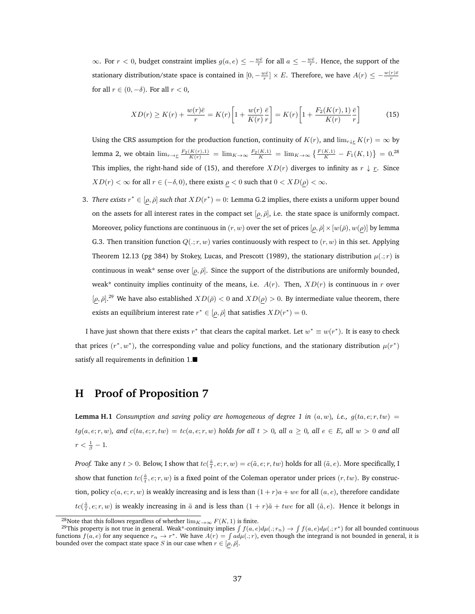∞. For  $r < 0$ , budget constraint implies  $g(a, e) \le -\frac{w\bar{e}}{r}$  for all  $a \le -\frac{w\bar{e}}{r}$ . Hence, the support of the stationary distribution/state space is contained in  $[0, -\frac{w\bar{e}}{r}] \times E$ . Therefore, we have  $A(r) \le -\frac{w(r)\bar{e}}{r}$ for all  $r \in (0, -\delta)$ . For all  $r < 0$ ,

$$
XD(r) \ge K(r) + \frac{w(r)\bar{e}}{r} = K(r)\left[1 + \frac{w(r)}{K(r)}\frac{\bar{e}}{r}\right] = K(r)\left[1 + \frac{F_2(K(r), 1)}{K(r)}\frac{\bar{e}}{r}\right]
$$
(15)

Using the CRS assumption for the production function, continuity of  $K(r)$ , and  $\lim_{r \downarrow r} K(r) = \infty$  by lemma 2, we obtain  $\lim_{r\to\pm} \frac{F_2(K(r),1)}{K(r)} = \lim_{K\to\infty} \frac{F_2(K,1)}{K} = \lim_{K\to\infty} \left\{ \frac{F(K,1)}{K} - F_1(K,1) \right\} = 0.28$ This implies, the right-hand side of (15), and therefore  $XD(r)$  diverges to infinity as  $r \downarrow r$ . Since  $XD(r) < \infty$  for all  $r \in (-\delta, 0)$ , there exists  $\rho < 0$  such that  $0 < XD(\rho) < \infty$ .

3. *There exists*  $r^* \in [\rho, \bar{\rho}]$  *such that*  $XD(r^*) = 0$ : Lemma G.2 implies, there exists a uniform upper bound on the assets for all interest rates in the compact set  $[\rho, \bar{\rho}]$ , i.e. the state space is uniformly compact. Moreover, policy functions are continuous in  $(r, w)$  over the set of prices  $[\rho, \bar{\rho}] \times [w(\bar{\rho}), w(\rho)]$  by lemma G.3. Then transition function  $Q(:, r, w)$  varies continuously with respect to  $(r, w)$  in this set. Applying Theorem 12.13 (pg 384) by Stokey, Lucas, and Prescott (1989), the stationary distribution  $\mu(.; r)$  is continuous in weak\* sense over  $[\rho, \bar{\rho}]$ . Since the support of the distributions are uniformly bounded, weak\* continuity implies continuity of the means, i.e.  $A(r)$ . Then,  $XD(r)$  is continuous in r over  $[\rho, \bar{\rho}]$ .<sup>29</sup> We have also established  $XD(\bar{\rho}) < 0$  and  $XD(\rho) > 0$ . By intermediate value theorem, there exists an equilibrium interest rate  $r^* \in [\rho, \bar{\rho}]$  that satisfies  $XD(r^*) = 0$ .

I have just shown that there exists  $r^*$  that clears the capital market. Let  $w^* \equiv w(r^*)$ . It is easy to check that prices  $(r^*, w^*)$ , the corresponding value and policy functions, and the stationary distribution  $\mu(r^*)$ satisfy all requirements in definition 1.

### **H Proof of Proposition 7**

**Lemma H.1** *Consumption and saving policy are homogeneous of degree 1 in*  $(a, w)$ *, i.e.,*  $g(ta, e; r, tw)$  =  $tg(a, e; r, w)$ , and  $c(ta, e; r, tw) = tc(a, e; r, w)$  *holds for all*  $t > 0$ , all  $a \ge 0$ , all  $e \in E$ , all  $w > 0$  and all  $r < \frac{1}{\beta} - 1.$ 

*Proof.* Take any  $t > 0$ . Below, I show that  $tc(\frac{\tilde{a}}{t}, e; r, w) = c(\tilde{a}, e; r, tw)$  holds for all  $(\tilde{a}, e)$ . More specifically, I show that function  $tc(\frac{\tilde{a}}{t},e;r,w)$  is a fixed point of the Coleman operator under prices  $(r,tw)$ . By construction, policy  $c(a, e; r, w)$  is weakly increasing and is less than  $(1 + r)a + we$  for all  $(a, e)$ , therefore candidate  $tc(\frac{\tilde{a}}{t}, e; r, w)$  is weakly increasing in  $\tilde{a}$  and is less than  $(1 + r)\tilde{a} + twe$  for all  $(\tilde{a}, e)$ . Hence it belongs in

<sup>&</sup>lt;sup>28</sup>Note that this follows regardless of whether  $\lim_{K\to\infty} F(K, 1)$  is finite.

<sup>&</sup>lt;sup>29</sup>This property is not true in general. Weak\*-continuity implies  $\int f(a, e)d\mu(:, r_n) \to \int f(a, e)d\mu(:, r^*)$  for all bounded continuous functions  $f(a, e)$  for any sequence  $r_n \to r^*$ . We have  $A(r) = \int a d\mu(:, r)$ , even though the integrand is not bounded in general, it is bounded over the compact state space S in our case when  $r \in [\rho, \bar{\rho}]$ .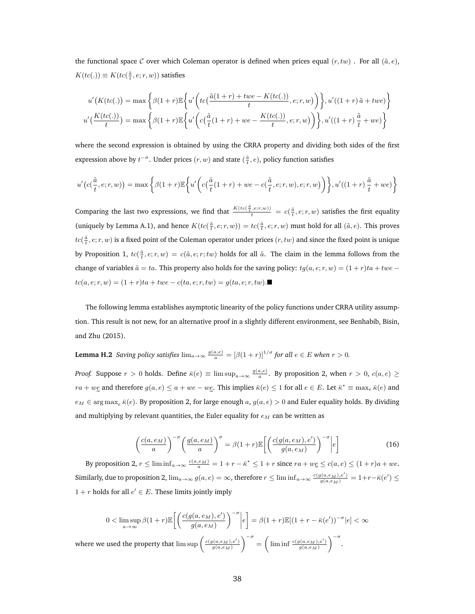the functional space C over which Coleman operator is defined when prices equal  $(r, tw)$ . For all  $(\tilde{a}, e)$ ,  $K(tc(.)) \equiv K(tc(\frac{\tilde{a}}{t},e;r,w))$  satisfies

$$
u'(K(tc(.)) = \max\left\{\beta(1+r)\mathbb{E}\left\{u'\left(tc\left(\frac{\tilde{a}(1+r)+twe-K(tc(.))}{t},e;r,w\right)\right)\right\}, u'((1+r)\tilde{a}+twe)\right\}
$$

$$
u'\left(\frac{K(tc(.))}{t}\right) = \max\left\{\beta(1+r)\mathbb{E}\left\{u'\left(c\left(\frac{\tilde{a}}{t}(1+r)+we-\frac{K(tc(.))}{t},e;r,w\right)\right)\right\}, u'((1+r)\frac{\tilde{a}}{t}+we)\right\}
$$

where the second expression is obtained by using the CRRA property and dividing both sides of the first expression above by  $t^{-\sigma}$ . Under prices  $(r, w)$  and state  $(\frac{\tilde{a}}{t}, e)$ , policy function satisfies

$$
u'\big(c(\frac{\tilde{a}}{t},e;r,w)\big)=\max\bigg\{\beta(1+r)\mathbb{E}\bigg\{u'\bigg(c\big(\frac{\tilde{a}}{t}(1+r)+we-c(\frac{\tilde{a}}{t},e;r,w),e;r,w\big)\bigg)\bigg\},\\ u'\big((1+r)\,\frac{\tilde{a}}{t}+we\big)\bigg\}
$$

Comparing the last two expressions, we find that  $\frac{K(tc(\frac{\tilde{a}}{t}, e; r, w))}{t} = c(\frac{\tilde{a}}{t}, e; r, w)$  satisfies the first equality (uniquely by Lemma A.1), and hence  $K(tc(\frac{\tilde{a}}{t}, e; r, w)) = tc(\frac{\tilde{a}}{t}, e; r, w)$  must hold for all  $(\tilde{a}, e)$ . This proves  $tc(\frac{\tilde{a}}{t},e;r,w)$  is a fixed point of the Coleman operator under prices  $(r,tw)$  and since the fixed point is unique by Proposition 1,  $tc(\frac{\tilde{a}}{t}, e; r, w) = c(\tilde{a}, e; r; tw)$  holds for all  $\tilde{a}$ . The claim in the lemma follows from the change of variables  $\tilde{a} = ta$ . This property also holds for the saving policy:  $tg(a, e; r, w) = (1 + r)ta + twe$  $tc(a, e; r, w) = (1 + r)ta + twe - c(ta, e; r, tw) = g(ta, e; r, tw)$ .

The following lemma establishes asymptotic linearity of the policy functions under CRRA utility assumption. This result is not new, for an alternative proof in a slightly different environment, see Benhabib, Bisin, and Zhu (2015).

**Lemma H.2** *Saving policy satisfies* 
$$
\lim_{a\to\infty} \frac{g(a,e)}{a} = [\beta(1+r)]^{1/\sigma}
$$
 *for all*  $e \in E$  *when*  $r > 0$ .

*Proof.* Suppose  $r > 0$  holds. Define  $\bar{\kappa}(e) \equiv \limsup_{a \to \infty} \frac{g(a,e)}{a}$ . By proposition 2, when  $r > 0$ ,  $c(a,e) \ge$  $ra + we$  and therefore  $g(a, e) \le a + we - we$ . This implies  $\bar{\kappa}(e) \le 1$  for all  $e \in E$ . Let  $\bar{\kappa}^* \equiv \max_{e} \bar{\kappa}(e)$  and  $e_M \in \arg \max_e \bar{\kappa}(e)$ . By proposition 2, for large enough a,  $g(a, e) > 0$  and Euler equality holds. By dividing and multiplying by relevant quantities, the Euler equality for  $e_M$  can be written as

$$
\left(\frac{c(a,e_M)}{a}\right)^{-\sigma} \left(\frac{g(a,e_M)}{a}\right)^{\sigma} = \beta(1+r)\mathbb{E}\left[\left(\frac{c(g(a,e_M),e')}{g(a,e_M)}\right)^{-\sigma}\middle|e\right]
$$
(16)

By proposition 2,  $r \leq \liminf_{a \to \infty} \frac{c(a,e_M)}{a} = 1 + r - \bar{\kappa}^* \leq 1 + r$  since  $ra + w\underline{e} \leq c(a,e) \leq (1+r)a + we$ . Similarly, due to proposition 2,  $\lim_{a\to\infty}g(a,e)=\infty$ , therefore  $r\leq \liminf_{a\to\infty}\frac{c(g(a,e_M),e')}{g(a,e_M)}=1+r-\bar{\kappa}(e')\leq$  $1 + r$  holds for all  $e' \in E$ . These limits jointly imply

$$
0 < \limsup_{a \to \infty} \beta(1+r) \mathbb{E}\left[ \left( \frac{c(g(a, e_M), e')}{g(a, e_M)} \right)^{-\sigma} \middle| e \right] = \beta(1+r) \mathbb{E}[(1+r - \bar{\kappa}(e'))^{-\sigma} \middle| e \right] < \infty
$$
\nwhere we used the property that

\n
$$
\limsup \left( \frac{c(g(a, e_M), e')}{g(a, e_M)} \right)^{-\sigma} = \left( \liminf \frac{c(g(a, e_M), e')}{g(a, e_M)} \right)^{-\sigma}.
$$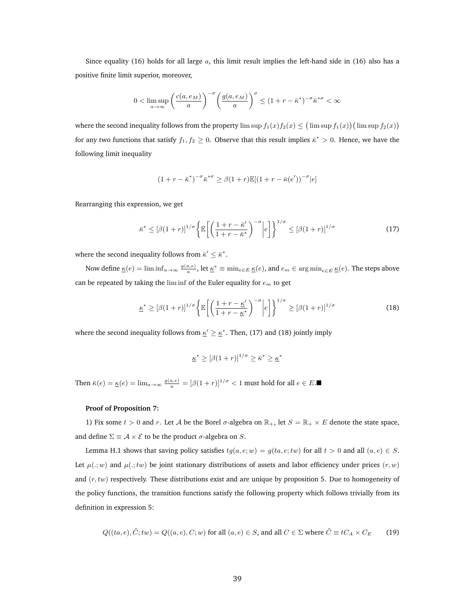Since equality (16) holds for all large  $a$ , this limit result implies the left-hand side in (16) also has a positive finite limit superior, moreover,

$$
0 < \limsup_{a \to \infty} \left( \frac{c(a, e_M)}{a} \right)^{-\sigma} \left( \frac{g(a, e_M)}{a} \right)^{\sigma} \le (1 + r - \bar{\kappa}^*)^{-\sigma} \bar{\kappa}^{*\sigma} < \infty
$$

where the second inequality follows from the property  $\limsup f_1(x)f_2(x) \leq (\limsup f_1(x))(\limsup f_2(x))$ for any two functions that satisfy  $f_1, f_2 \geq 0$ . Observe that this result implies  $\bar{\kappa}^* > 0$ . Hence, we have the following limit inequality

$$
(1+r-\bar{\kappa}^*)^{-\sigma}\bar{\kappa}^{*\sigma} \geq \beta(1+r)\mathbb{E}[(1+r-\bar{\kappa}(e'))^{-\sigma}|e]
$$

Rearranging this expression, we get

$$
\bar{\kappa}^* \leq \left[\beta(1+r)\right]^{1/\sigma} \left\{ \mathbb{E}\left[\left(\frac{1+r-\bar{\kappa}'}{1+r-\bar{\kappa}^*}\right)^{-\sigma} \middle| e\right] \right\}^{1/\sigma} \leq \left[\beta(1+r)\right]^{1/\sigma} \tag{17}
$$

where the second inequality follows from  $\bar{\kappa}' \leq \bar{\kappa}^*$ .

Now define  $\underline{\kappa}(e)=\liminf_{a\to\infty}\frac{g(a,e)}{a},$  let  $\underline{\kappa}^*\equiv\min_{e\in E}\underline{\kappa}(e),$  and  $e_m\in\argmin_{e\in E}\underline{\kappa}(e).$  The steps above can be repeated by taking the lim inf of the Euler equality for  $e<sub>m</sub>$  to get

$$
\underline{\kappa}^* \geq [\beta(1+r)]^{1/\sigma} \left\{ \mathbb{E} \left[ \left( \frac{1+r-\underline{\kappa}'}{1+r-\underline{\kappa}^*} \right)^{-\sigma} \middle| e \right] \right\}^{1/\sigma} \geq [\beta(1+r)]^{1/\sigma} \tag{18}
$$

where the second inequality follows from  $\underline{\kappa}' \geq \underline{\kappa}^*$ . Then, (17) and (18) jointly imply

$$
\underline{\kappa}^* \geq [\beta(1+r)]^{1/\sigma} \geq \bar{\kappa}^* \geq \underline{\kappa}^*
$$

Then  $\bar{\kappa}(e) = \underline{\kappa}(e) = \lim_{a \to \infty} \frac{g(a,e)}{a} = [\beta(1+r)]^{1/\sigma} < 1$  must hold for all  $e \in E$ .

#### **Proof of Proposition 7:**

1) Fix some  $t > 0$  and r. Let A be the Borel  $\sigma$ -algebra on  $\mathbb{R}_+$ , let  $S = \mathbb{R}_+ \times E$  denote the state space, and define  $\Sigma \equiv A \times E$  to be the product  $\sigma$ -algebra on S.

Lemma H.1 shows that saving policy satisfies  $tg(a, e; w) = g(ta, e; tw)$  for all  $t > 0$  and all  $(a, e) \in S$ . Let  $\mu(.; w)$  and  $\mu(.; tw)$  be joint stationary distributions of assets and labor efficiency under prices  $(r, w)$ and  $(r, tw)$  respectively. These distributions exist and are unique by proposition 5. Due to homogeneity of the policy functions, the transition functions satisfy the following property which follows trivially from its definition in expression 5:

$$
Q((ta, e), \tilde{C}; tw) = Q((a, e), C; w) \text{ for all } (a, e) \in S, \text{ and all } C \in \Sigma \text{ where } \tilde{C} \equiv tC_A \times C_E \tag{19}
$$